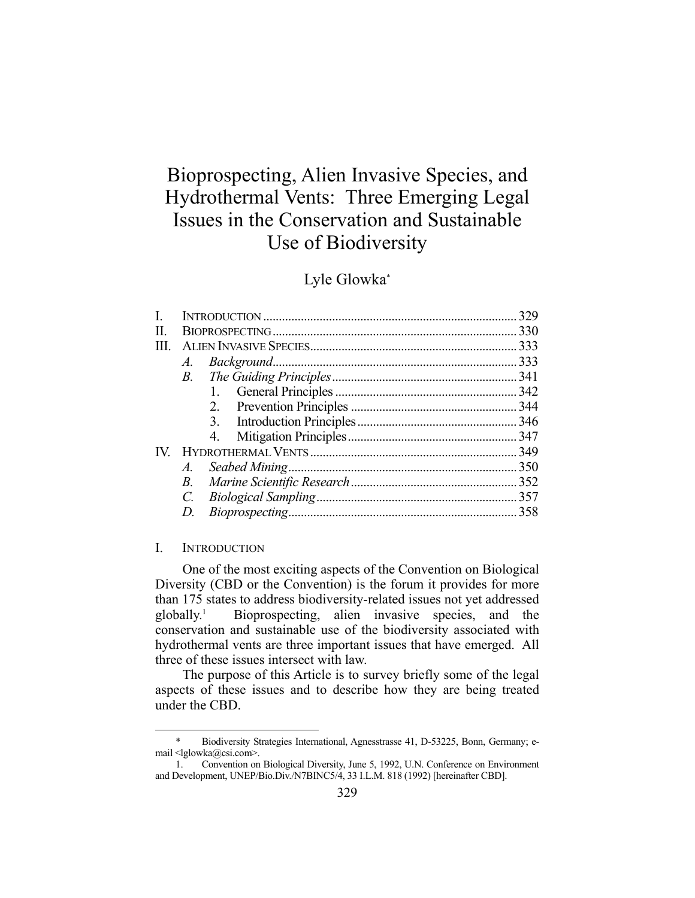# Bioprospecting, Alien Invasive Species, and Hydrothermal Vents: Three Emerging Legal Issues in the Conservation and Sustainable Use of Biodiversity

# Lyle Glowka\*

| $A_{\cdot}$ |  |
|-------------|--|
| <i>B</i> .  |  |
|             |  |
| 2.          |  |
|             |  |
| 4.          |  |
|             |  |
| A.          |  |
| <i>B</i> .  |  |
| C.          |  |
| D.          |  |
|             |  |

#### I. INTRODUCTION

1

 One of the most exciting aspects of the Convention on Biological Diversity (CBD or the Convention) is the forum it provides for more than 175 states to address biodiversity-related issues not yet addressed globally.<sup>1</sup> Bioprospecting, alien invasive species, and the conservation and sustainable use of the biodiversity associated with hydrothermal vents are three important issues that have emerged. All three of these issues intersect with law.

 The purpose of this Article is to survey briefly some of the legal aspects of these issues and to describe how they are being treated under the CBD.

 <sup>\*</sup> Biodiversity Strategies International, Agnesstrasse 41, D-53225, Bonn, Germany; email <lglowka@csi.com>.

 <sup>1.</sup> Convention on Biological Diversity, June 5, 1992, U.N. Conference on Environment and Development, UNEP/Bio.Div./N7BINC5/4, 33 I.L.M. 818 (1992) [hereinafter CBD].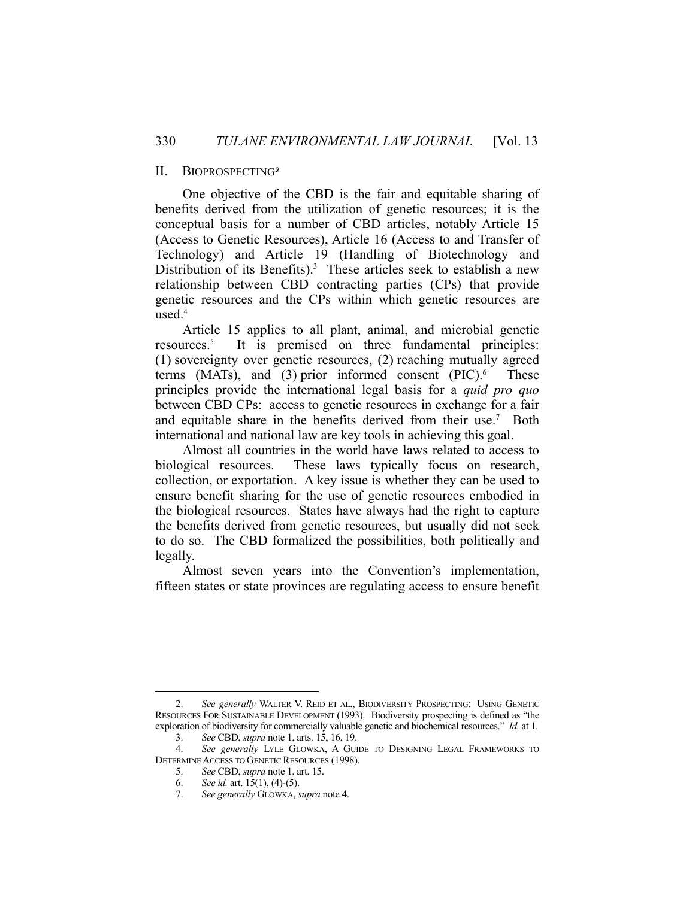#### II. BIOPROSPECTING**<sup>2</sup>**

 One objective of the CBD is the fair and equitable sharing of benefits derived from the utilization of genetic resources; it is the conceptual basis for a number of CBD articles, notably Article 15 (Access to Genetic Resources), Article 16 (Access to and Transfer of Technology) and Article 19 (Handling of Biotechnology and Distribution of its Benefits).<sup>3</sup> These articles seek to establish a new relationship between CBD contracting parties (CPs) that provide genetic resources and the CPs within which genetic resources are used.4

 Article 15 applies to all plant, animal, and microbial genetic resources.5 It is premised on three fundamental principles: (1) sovereignty over genetic resources, (2) reaching mutually agreed terms (MATs), and (3) prior informed consent  $(PIC)$ .<sup>6</sup> These principles provide the international legal basis for a *quid pro quo* between CBD CPs: access to genetic resources in exchange for a fair and equitable share in the benefits derived from their use.<sup>7</sup> Both international and national law are key tools in achieving this goal.

 Almost all countries in the world have laws related to access to biological resources. These laws typically focus on research, collection, or exportation. A key issue is whether they can be used to ensure benefit sharing for the use of genetic resources embodied in the biological resources. States have always had the right to capture the benefits derived from genetic resources, but usually did not seek to do so. The CBD formalized the possibilities, both politically and legally.

 Almost seven years into the Convention's implementation, fifteen states or state provinces are regulating access to ensure benefit

 <sup>2.</sup> *See generally* WALTER V. REID ET AL., BIODIVERSITY PROSPECTING: USING GENETIC RESOURCES FOR SUSTAINABLE DEVELOPMENT (1993). Biodiversity prospecting is defined as "the exploration of biodiversity for commercially valuable genetic and biochemical resources." *Id.* at 1.

 <sup>3.</sup> *See* CBD, *supra* note 1, arts. 15, 16, 19.

 <sup>4.</sup> *See generally* LYLE GLOWKA, A GUIDE TO DESIGNING LEGAL FRAMEWORKS TO DETERMINE ACCESS TO GENETIC RESOURCES (1998).

 <sup>5.</sup> *See* CBD, *supra* note 1, art. 15.

 <sup>6.</sup> *See id.* art. 15(1), (4)-(5).

 <sup>7.</sup> *See generally* GLOWKA, *supra* note 4.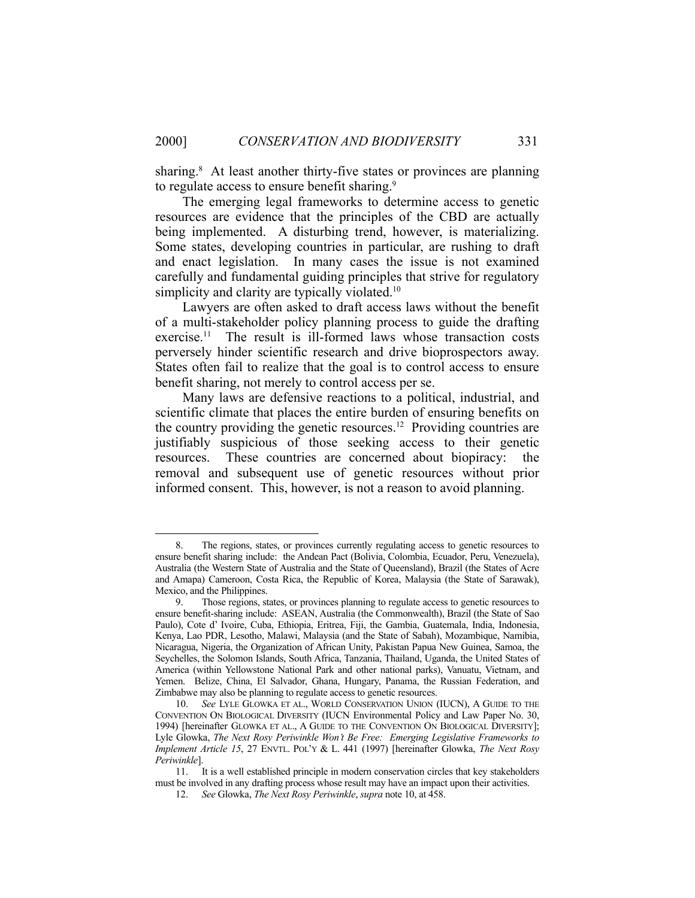sharing.<sup>8</sup> At least another thirty-five states or provinces are planning to regulate access to ensure benefit sharing.<sup>9</sup>

 The emerging legal frameworks to determine access to genetic resources are evidence that the principles of the CBD are actually being implemented. A disturbing trend, however, is materializing. Some states, developing countries in particular, are rushing to draft and enact legislation. In many cases the issue is not examined carefully and fundamental guiding principles that strive for regulatory simplicity and clarity are typically violated.<sup>10</sup>

 Lawyers are often asked to draft access laws without the benefit of a multi-stakeholder policy planning process to guide the drafting exercise.11 The result is ill-formed laws whose transaction costs perversely hinder scientific research and drive bioprospectors away. States often fail to realize that the goal is to control access to ensure benefit sharing, not merely to control access per se.

 Many laws are defensive reactions to a political, industrial, and scientific climate that places the entire burden of ensuring benefits on the country providing the genetic resources.<sup>12</sup> Providing countries are justifiably suspicious of those seeking access to their genetic resources. These countries are concerned about biopiracy: the removal and subsequent use of genetic resources without prior informed consent. This, however, is not a reason to avoid planning.

 <sup>8.</sup> The regions, states, or provinces currently regulating access to genetic resources to ensure benefit sharing include: the Andean Pact (Bolivia, Colombia, Ecuador, Peru, Venezuela), Australia (the Western State of Australia and the State of Queensland), Brazil (the States of Acre and Amapa) Cameroon, Costa Rica, the Republic of Korea, Malaysia (the State of Sarawak), Mexico, and the Philippines.

 <sup>9.</sup> Those regions, states, or provinces planning to regulate access to genetic resources to ensure benefit-sharing include: ASEAN, Australia (the Commonwealth), Brazil (the State of Sao Paulo), Cote d' Ivoire, Cuba, Ethiopia, Eritrea, Fiji, the Gambia, Guatemala, India, Indonesia, Kenya, Lao PDR, Lesotho, Malawi, Malaysia (and the State of Sabah), Mozambique, Namibia, Nicaragua, Nigeria, the Organization of African Unity, Pakistan Papua New Guinea, Samoa, the Seychelles, the Solomon Islands, South Africa, Tanzania, Thailand, Uganda, the United States of America (within Yellowstone National Park and other national parks), Vanuatu, Vietnam, and Yemen. Belize, China, El Salvador, Ghana, Hungary, Panama, the Russian Federation, and Zimbabwe may also be planning to regulate access to genetic resources.

 <sup>10.</sup> *See* LYLE GLOWKA ET AL., WORLD CONSERVATION UNION (IUCN), A GUIDE TO THE CONVENTION ON BIOLOGICAL DIVERSITY (IUCN Environmental Policy and Law Paper No. 30, 1994) [hereinafter GLOWKA ET AL., A GUIDE TO THE CONVENTION ON BIOLOGICAL DIVERSITY]; Lyle Glowka, *The Next Rosy Periwinkle Won't Be Free: Emerging Legislative Frameworks to Implement Article 15*, 27 ENVTL. POL'Y & L. 441 (1997) [hereinafter Glowka, *The Next Rosy Periwinkle*].

 <sup>11.</sup> It is a well established principle in modern conservation circles that key stakeholders must be involved in any drafting process whose result may have an impact upon their activities.

 <sup>12.</sup> *See* Glowka, *The Next Rosy Periwinkle*, *supra* note 10, at 458.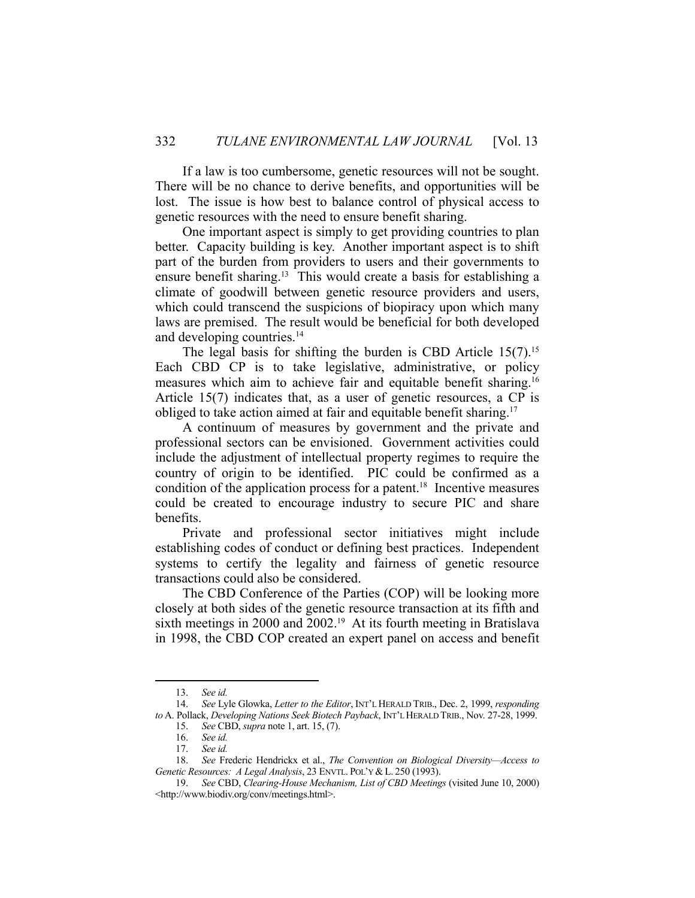If a law is too cumbersome, genetic resources will not be sought. There will be no chance to derive benefits, and opportunities will be lost. The issue is how best to balance control of physical access to genetic resources with the need to ensure benefit sharing.

 One important aspect is simply to get providing countries to plan better. Capacity building is key. Another important aspect is to shift part of the burden from providers to users and their governments to ensure benefit sharing.<sup>13</sup> This would create a basis for establishing a climate of goodwill between genetic resource providers and users, which could transcend the suspicions of biopiracy upon which many laws are premised. The result would be beneficial for both developed and developing countries.14

The legal basis for shifting the burden is CBD Article  $15(7)$ .<sup>15</sup> Each CBD CP is to take legislative, administrative, or policy measures which aim to achieve fair and equitable benefit sharing.<sup>16</sup> Article 15(7) indicates that, as a user of genetic resources, a CP is obliged to take action aimed at fair and equitable benefit sharing.<sup>17</sup>

 A continuum of measures by government and the private and professional sectors can be envisioned. Government activities could include the adjustment of intellectual property regimes to require the country of origin to be identified. PIC could be confirmed as a condition of the application process for a patent.<sup>18</sup> Incentive measures could be created to encourage industry to secure PIC and share benefits.

 Private and professional sector initiatives might include establishing codes of conduct or defining best practices. Independent systems to certify the legality and fairness of genetic resource transactions could also be considered.

 The CBD Conference of the Parties (COP) will be looking more closely at both sides of the genetic resource transaction at its fifth and sixth meetings in 2000 and 2002.<sup>19</sup> At its fourth meeting in Bratislava in 1998, the CBD COP created an expert panel on access and benefit

 <sup>13.</sup> *See id.*

 <sup>14.</sup> *See* Lyle Glowka, *Letter to the Editor*, INT'L HERALD TRIB., Dec. 2, 1999, *responding to* A. Pollack, *Developing Nations Seek Biotech Payback*, INT'L HERALD TRIB., Nov. 27-28, 1999.

 <sup>15.</sup> *See* CBD, *supra* note 1, art. 15, (7).

 <sup>16.</sup> *See id.*

 <sup>17.</sup> *See id.*

 <sup>18.</sup> *See* Frederic Hendrickx et al., *The Convention on Biological Diversity—Access to Genetic Resources: A Legal Analysis*, 23 ENVTL. POL'Y & L. 250 (1993).

 <sup>19.</sup> *See* CBD, *Clearing-House Mechanism, List of CBD Meetings* (visited June 10, 2000) <http://www.biodiv.org/conv/meetings.html>.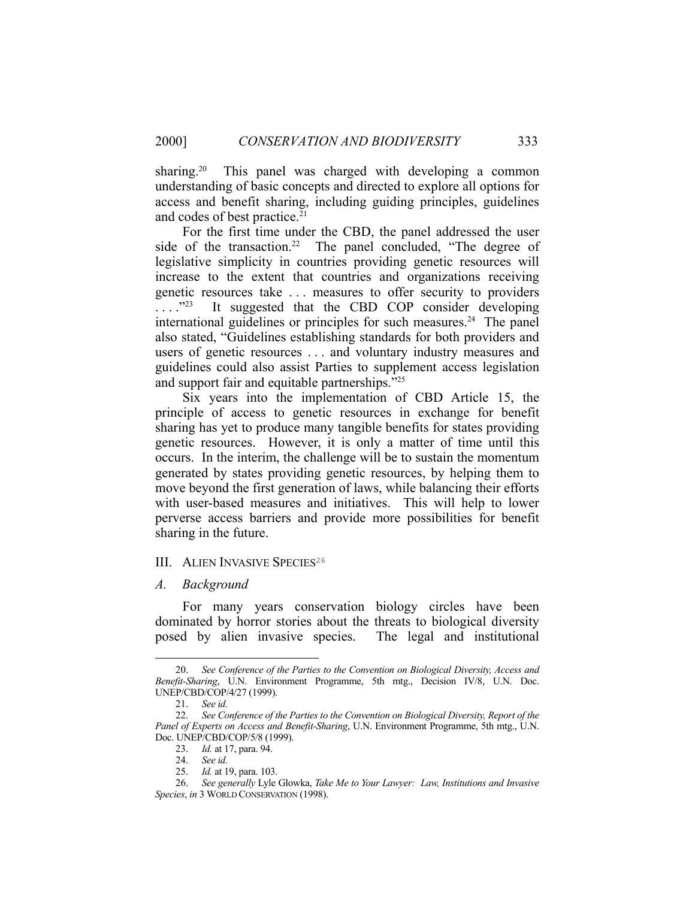sharing.<sup>20</sup> This panel was charged with developing a common understanding of basic concepts and directed to explore all options for access and benefit sharing, including guiding principles, guidelines and codes of best practice.<sup>21</sup>

 For the first time under the CBD, the panel addressed the user side of the transaction.<sup>22</sup> The panel concluded, "The degree of legislative simplicity in countries providing genetic resources will increase to the extent that countries and organizations receiving genetic resources take . . . measures to offer security to providers ...."<sup>23</sup> It suggested that the CBD COP consider developing international guidelines or principles for such measures.<sup>24</sup> The panel also stated, "Guidelines establishing standards for both providers and users of genetic resources . . . and voluntary industry measures and guidelines could also assist Parties to supplement access legislation and support fair and equitable partnerships."25

 Six years into the implementation of CBD Article 15, the principle of access to genetic resources in exchange for benefit sharing has yet to produce many tangible benefits for states providing genetic resources. However, it is only a matter of time until this occurs. In the interim, the challenge will be to sustain the momentum generated by states providing genetic resources, by helping them to move beyond the first generation of laws, while balancing their efforts with user-based measures and initiatives. This will help to lower perverse access barriers and provide more possibilities for benefit sharing in the future.

#### III. ALIEN INVASIVE SPECIES<sup>26</sup>

#### *A. Background*

 For many years conservation biology circles have been dominated by horror stories about the threats to biological diversity posed by alien invasive species. The legal and institutional

 <sup>20.</sup> *See Conference of the Parties to the Convention on Biological Diversity, Access and Benefit-Sharing*, U.N. Environment Programme, 5th mtg., Decision IV/8, U.N. Doc. UNEP/CBD/COP/4/27 (1999).

 <sup>21.</sup> *See id.*

 <sup>22.</sup> *See Conference of the Parties to the Convention on Biological Diversity, Report of the Panel of Experts on Access and Benefit-Sharing*, U.N. Environment Programme, 5th mtg., U.N. Doc. UNEP/CBD/COP/5/8 (1999).

 <sup>23.</sup> *Id.* at 17, para. 94.

See id.

 <sup>25.</sup> *Id.* at 19, para. 103.

 <sup>26.</sup> *See generally* Lyle Glowka, *Take Me to Your Lawyer: Law, Institutions and Invasive Species*, *in* 3 WORLD CONSERVATION (1998).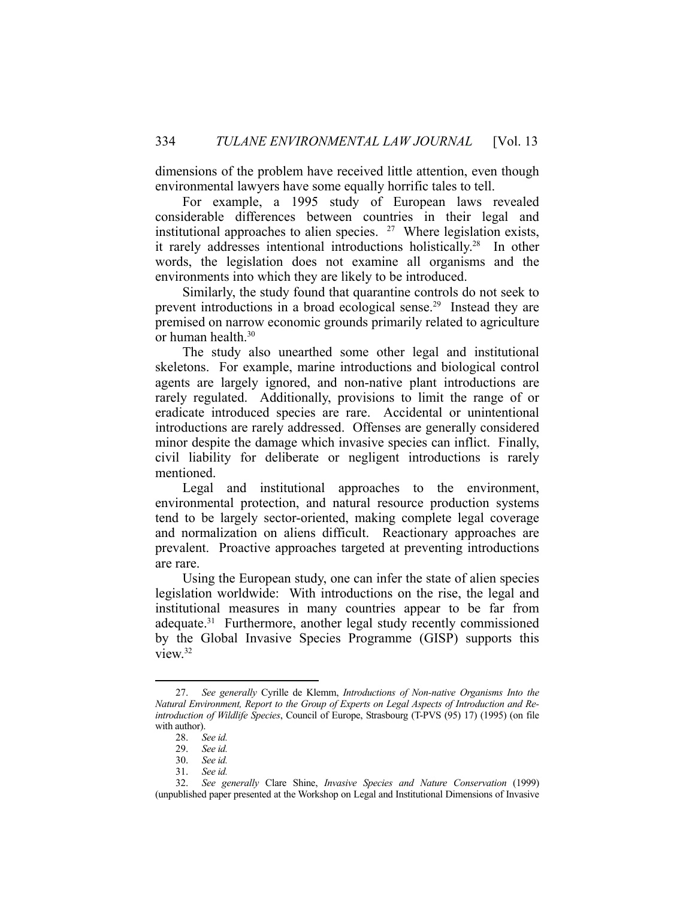dimensions of the problem have received little attention, even though environmental lawyers have some equally horrific tales to tell.

 For example, a 1995 study of European laws revealed considerable differences between countries in their legal and institutional approaches to alien species. 27 Where legislation exists, it rarely addresses intentional introductions holistically.28 In other words, the legislation does not examine all organisms and the environments into which they are likely to be introduced.

 Similarly, the study found that quarantine controls do not seek to prevent introductions in a broad ecological sense.29 Instead they are premised on narrow economic grounds primarily related to agriculture or human health.<sup>30</sup>

 The study also unearthed some other legal and institutional skeletons. For example, marine introductions and biological control agents are largely ignored, and non-native plant introductions are rarely regulated. Additionally, provisions to limit the range of or eradicate introduced species are rare. Accidental or unintentional introductions are rarely addressed. Offenses are generally considered minor despite the damage which invasive species can inflict. Finally, civil liability for deliberate or negligent introductions is rarely mentioned.

 Legal and institutional approaches to the environment, environmental protection, and natural resource production systems tend to be largely sector-oriented, making complete legal coverage and normalization on aliens difficult. Reactionary approaches are prevalent. Proactive approaches targeted at preventing introductions are rare.

 Using the European study, one can infer the state of alien species legislation worldwide: With introductions on the rise, the legal and institutional measures in many countries appear to be far from adequate.31 Furthermore, another legal study recently commissioned by the Global Invasive Species Programme (GISP) supports this view.32

 <sup>27.</sup> *See generally* Cyrille de Klemm, *Introductions of Non-native Organisms Into the Natural Environment, Report to the Group of Experts on Legal Aspects of Introduction and Reintroduction of Wildlife Species*, Council of Europe, Strasbourg (T-PVS (95) 17) (1995) (on file with author).

 <sup>28.</sup> *See id.*

 <sup>29.</sup> *See id.* See id.

 <sup>31.</sup> *See id.*

 <sup>32.</sup> *See generally* Clare Shine, *Invasive Species and Nature Conservation* (1999) (unpublished paper presented at the Workshop on Legal and Institutional Dimensions of Invasive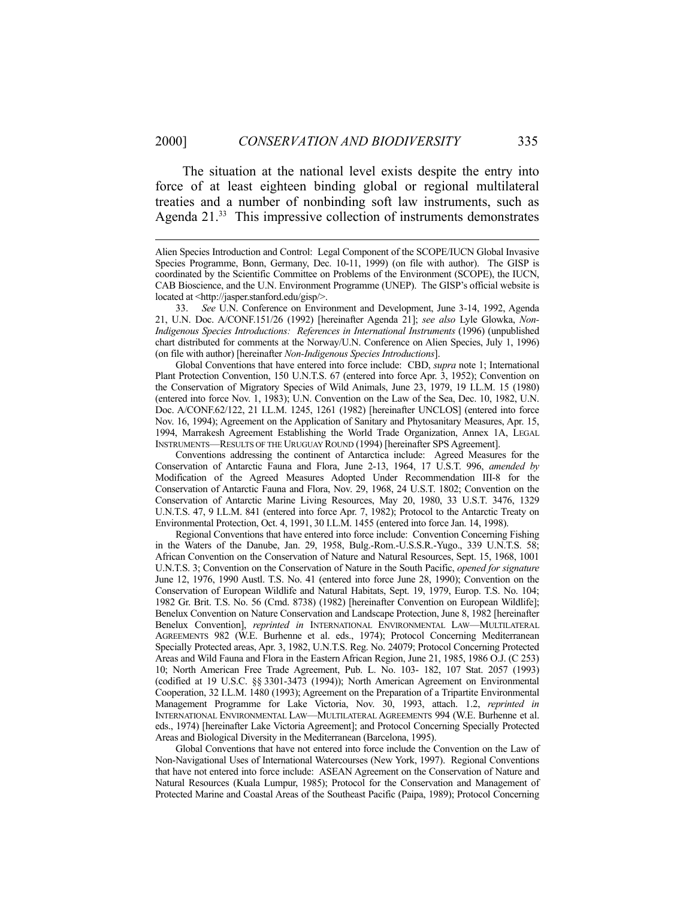The situation at the national level exists despite the entry into force of at least eighteen binding global or regional multilateral treaties and a number of nonbinding soft law instruments, such as Agenda 21.<sup>33</sup> This impressive collection of instruments demonstrates

 Global Conventions that have entered into force include: CBD, *supra* note 1; International Plant Protection Convention, 150 U.N.T.S. 67 (entered into force Apr. 3, 1952); Convention on the Conservation of Migratory Species of Wild Animals, June 23, 1979, 19 I.L.M. 15 (1980) (entered into force Nov. 1, 1983); U.N. Convention on the Law of the Sea, Dec. 10, 1982, U.N. Doc. A/CONF.62/122, 21 I.L.M. 1245, 1261 (1982) [hereinafter UNCLOS] (entered into force Nov. 16, 1994); Agreement on the Application of Sanitary and Phytosanitary Measures, Apr. 15, 1994, Marrakesh Agreement Establishing the World Trade Organization, Annex 1A, LEGAL INSTRUMENTS—RESULTS OF THE URUGUAY ROUND (1994) [hereinafter SPS Agreement].

 Conventions addressing the continent of Antarctica include: Agreed Measures for the Conservation of Antarctic Fauna and Flora, June 2-13, 1964, 17 U.S.T. 996, *amended by* Modification of the Agreed Measures Adopted Under Recommendation III-8 for the Conservation of Antarctic Fauna and Flora, Nov. 29, 1968, 24 U.S.T. 1802; Convention on the Conservation of Antarctic Marine Living Resources, May 20, 1980, 33 U.S.T. 3476, 1329 U.N.T.S. 47, 9 I.L.M. 841 (entered into force Apr. 7, 1982); Protocol to the Antarctic Treaty on Environmental Protection, Oct. 4, 1991, 30 I.L.M. 1455 (entered into force Jan. 14, 1998).

 Regional Conventions that have entered into force include: Convention Concerning Fishing in the Waters of the Danube, Jan. 29, 1958, Bulg.-Rom.-U.S.S.R.-Yugo., 339 U.N.T.S. 58; African Convention on the Conservation of Nature and Natural Resources, Sept. 15, 1968, 1001 U.N.T.S. 3; Convention on the Conservation of Nature in the South Pacific, *opened for signature* June 12, 1976, 1990 Austl. T.S. No. 41 (entered into force June 28, 1990); Convention on the Conservation of European Wildlife and Natural Habitats, Sept. 19, 1979, Europ. T.S. No. 104; 1982 Gr. Brit. T.S. No. 56 (Cmd. 8738) (1982) [hereinafter Convention on European Wildlife]; Benelux Convention on Nature Conservation and Landscape Protection, June 8, 1982 [hereinafter Benelux Convention], *reprinted in* INTERNATIONAL ENVIRONMENTAL LAW—MULTILATERAL AGREEMENTS 982 (W.E. Burhenne et al. eds., 1974); Protocol Concerning Mediterranean Specially Protected areas, Apr. 3, 1982, U.N.T.S. Reg. No. 24079; Protocol Concerning Protected Areas and Wild Fauna and Flora in the Eastern African Region, June 21, 1985, 1986 O.J. (C 253) 10; North American Free Trade Agreement, Pub. L. No. 103- 182, 107 Stat. 2057 (1993) (codified at 19 U.S.C. §§ 3301-3473 (1994)); North American Agreement on Environmental Cooperation, 32 I.L.M. 1480 (1993); Agreement on the Preparation of a Tripartite Environmental Management Programme for Lake Victoria, Nov. 30, 1993, attach. 1.2, *reprinted in* INTERNATIONAL ENVIRONMENTAL LAW—MULTILATERAL AGREEMENTS 994 (W.E. Burhenne et al. eds., 1974) [hereinafter Lake Victoria Agreement]; and Protocol Concerning Specially Protected Areas and Biological Diversity in the Mediterranean (Barcelona, 1995).

 Global Conventions that have not entered into force include the Convention on the Law of Non-Navigational Uses of International Watercourses (New York, 1997). Regional Conventions that have not entered into force include: ASEAN Agreement on the Conservation of Nature and Natural Resources (Kuala Lumpur, 1985); Protocol for the Conservation and Management of Protected Marine and Coastal Areas of the Southeast Pacific (Paipa, 1989); Protocol Concerning

Alien Species Introduction and Control: Legal Component of the SCOPE/IUCN Global Invasive Species Programme, Bonn, Germany, Dec. 10-11, 1999) (on file with author). The GISP is coordinated by the Scientific Committee on Problems of the Environment (SCOPE), the IUCN, CAB Bioscience, and the U.N. Environment Programme (UNEP). The GISP's official website is located at <http://jasper.stanford.edu/gisp/>.

 <sup>33.</sup> *See* U.N. Conference on Environment and Development, June 3-14, 1992, Agenda 21, U.N. Doc. A/CONF.151/26 (1992) [hereinafter Agenda 21]; *see also* Lyle Glowka, *Non-Indigenous Species Introductions: References in International Instruments* (1996) (unpublished chart distributed for comments at the Norway/U.N. Conference on Alien Species, July 1, 1996) (on file with author) [hereinafter *Non-Indigenous Species Introductions*].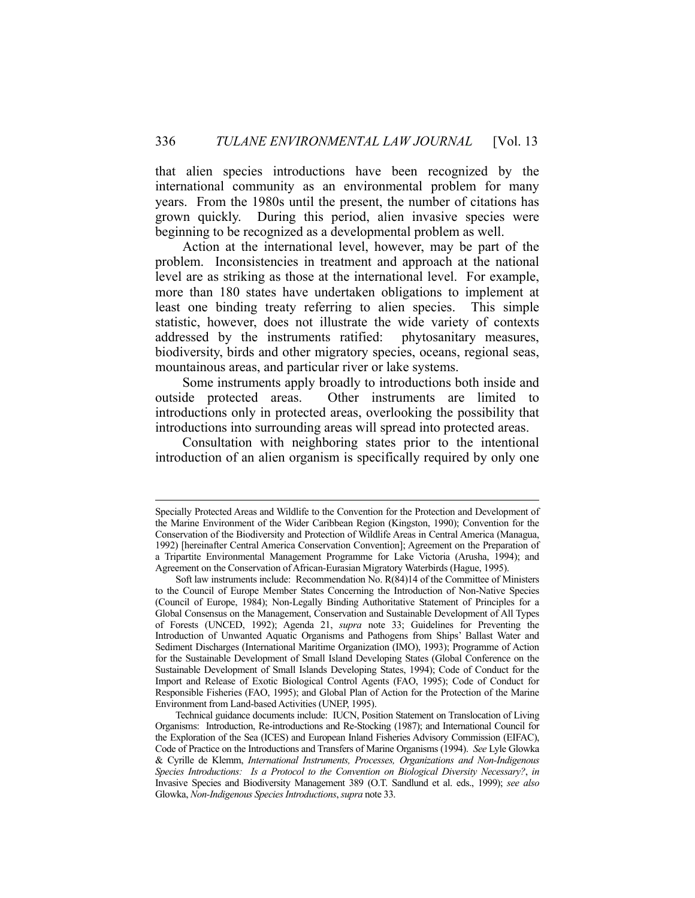that alien species introductions have been recognized by the international community as an environmental problem for many years. From the 1980s until the present, the number of citations has grown quickly. During this period, alien invasive species were beginning to be recognized as a developmental problem as well.

 Action at the international level, however, may be part of the problem. Inconsistencies in treatment and approach at the national level are as striking as those at the international level. For example, more than 180 states have undertaken obligations to implement at least one binding treaty referring to alien species. This simple statistic, however, does not illustrate the wide variety of contexts addressed by the instruments ratified: phytosanitary measures, biodiversity, birds and other migratory species, oceans, regional seas, mountainous areas, and particular river or lake systems.

 Some instruments apply broadly to introductions both inside and outside protected areas. Other instruments are limited to introductions only in protected areas, overlooking the possibility that introductions into surrounding areas will spread into protected areas.

 Consultation with neighboring states prior to the intentional introduction of an alien organism is specifically required by only one

Specially Protected Areas and Wildlife to the Convention for the Protection and Development of the Marine Environment of the Wider Caribbean Region (Kingston, 1990); Convention for the Conservation of the Biodiversity and Protection of Wildlife Areas in Central America (Managua, 1992) [hereinafter Central America Conservation Convention]; Agreement on the Preparation of a Tripartite Environmental Management Programme for Lake Victoria (Arusha, 1994); and Agreement on the Conservation of African-Eurasian Migratory Waterbirds (Hague, 1995).

Soft law instruments include: Recommendation No. R(84)14 of the Committee of Ministers to the Council of Europe Member States Concerning the Introduction of Non-Native Species (Council of Europe, 1984); Non-Legally Binding Authoritative Statement of Principles for a Global Consensus on the Management, Conservation and Sustainable Development of All Types of Forests (UNCED, 1992); Agenda 21, *supra* note 33; Guidelines for Preventing the Introduction of Unwanted Aquatic Organisms and Pathogens from Ships' Ballast Water and Sediment Discharges (International Maritime Organization (IMO), 1993); Programme of Action for the Sustainable Development of Small Island Developing States (Global Conference on the Sustainable Development of Small Islands Developing States, 1994); Code of Conduct for the Import and Release of Exotic Biological Control Agents (FAO, 1995); Code of Conduct for Responsible Fisheries (FAO, 1995); and Global Plan of Action for the Protection of the Marine Environment from Land-based Activities (UNEP, 1995).

Technical guidance documents include: IUCN, Position Statement on Translocation of Living Organisms: Introduction, Re-introductions and Re-Stocking (1987); and International Council for the Exploration of the Sea (ICES) and European Inland Fisheries Advisory Commission (EIFAC), Code of Practice on the Introductions and Transfers of Marine Organisms (1994). *See* Lyle Glowka & Cyrille de Klemm, *International Instruments, Processes, Organizations and Non-Indigenous Species Introductions: Is a Protocol to the Convention on Biological Diversity Necessary?*, *in* Invasive Species and Biodiversity Management 389 (O.T. Sandlund et al. eds., 1999); *see also* Glowka, *Non-Indigenous Species Introductions*, *supra* note 33.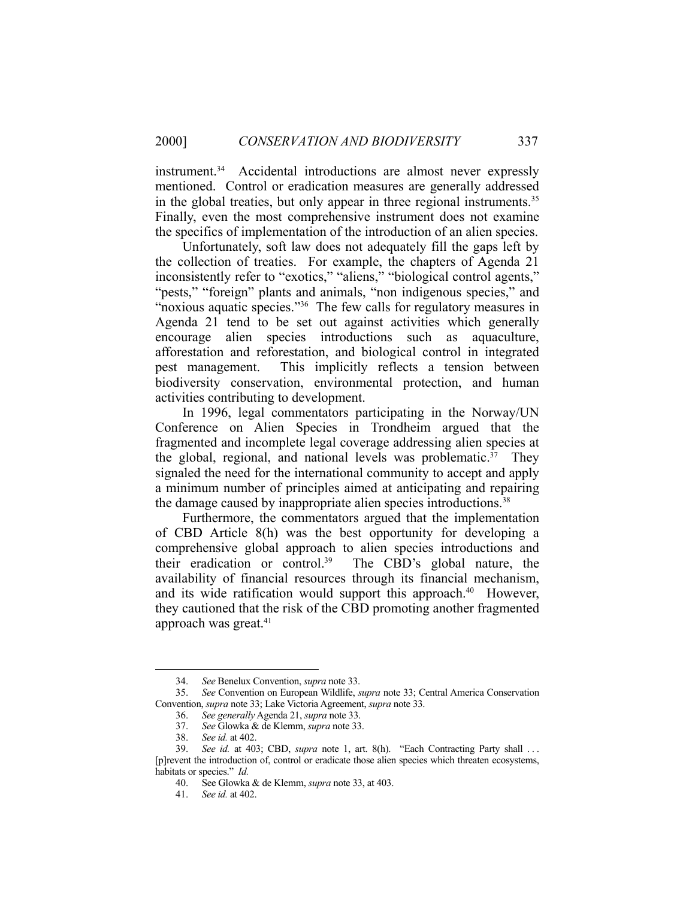instrument.<sup>34</sup> Accidental introductions are almost never expressly mentioned. Control or eradication measures are generally addressed in the global treaties, but only appear in three regional instruments.<sup>35</sup> Finally, even the most comprehensive instrument does not examine the specifics of implementation of the introduction of an alien species.

 Unfortunately, soft law does not adequately fill the gaps left by the collection of treaties. For example, the chapters of Agenda 21 inconsistently refer to "exotics," "aliens," "biological control agents," "pests," "foreign" plants and animals, "non indigenous species," and "noxious aquatic species."<sup>36</sup> The few calls for regulatory measures in Agenda 21 tend to be set out against activities which generally encourage alien species introductions such as aquaculture, afforestation and reforestation, and biological control in integrated pest management. This implicitly reflects a tension between biodiversity conservation, environmental protection, and human activities contributing to development.

 In 1996, legal commentators participating in the Norway/UN Conference on Alien Species in Trondheim argued that the fragmented and incomplete legal coverage addressing alien species at the global, regional, and national levels was problematic.<sup>37</sup> They signaled the need for the international community to accept and apply a minimum number of principles aimed at anticipating and repairing the damage caused by inappropriate alien species introductions.<sup>38</sup>

 Furthermore, the commentators argued that the implementation of CBD Article 8(h) was the best opportunity for developing a comprehensive global approach to alien species introductions and their eradication or control.<sup>39</sup> The CBD's global nature, the availability of financial resources through its financial mechanism, and its wide ratification would support this approach. $40$  However, they cautioned that the risk of the CBD promoting another fragmented approach was great.<sup>41</sup>

<u>.</u>

 <sup>34.</sup> *See* Benelux Convention, *supra* note 33.

 <sup>35.</sup> *See* Convention on European Wildlife, *supra* note 33; Central America Conservation Convention, *supra* note 33; Lake Victoria Agreement, *supra* note 33.

 <sup>36.</sup> *See generally* Agenda 21, *supra* note 33.

 <sup>37.</sup> *See* Glowka & de Klemm, *supra* note 33.

 <sup>38.</sup> *See id.* at 402.

 <sup>39.</sup> *See id.* at 403; CBD, *supra* note 1, art. 8(h). "Each Contracting Party shall . . . [p]revent the introduction of, control or eradicate those alien species which threaten ecosystems, habitats or species." *Id.*

 <sup>40.</sup> See Glowka & de Klemm, *supra* note 33, at 403.

 <sup>41.</sup> *See id.* at 402.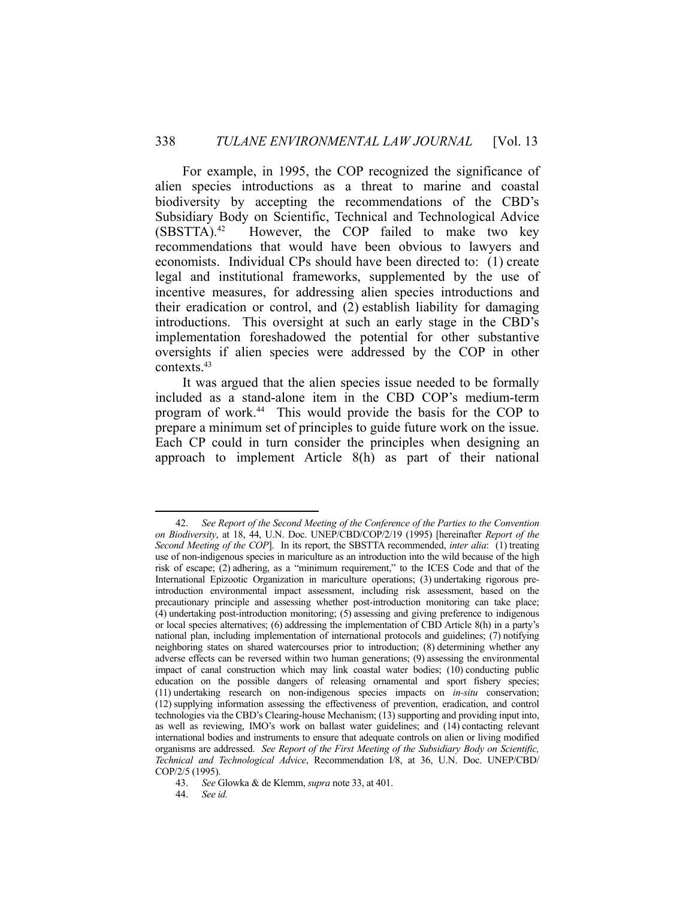For example, in 1995, the COP recognized the significance of alien species introductions as a threat to marine and coastal biodiversity by accepting the recommendations of the CBD's Subsidiary Body on Scientific, Technical and Technological Advice  $(SBSTTA).<sup>42</sup>$  However, the COP failed to make two key recommendations that would have been obvious to lawyers and economists. Individual CPs should have been directed to: (1) create legal and institutional frameworks, supplemented by the use of incentive measures, for addressing alien species introductions and their eradication or control, and (2) establish liability for damaging introductions. This oversight at such an early stage in the CBD's implementation foreshadowed the potential for other substantive oversights if alien species were addressed by the COP in other contexts.43

 It was argued that the alien species issue needed to be formally included as a stand-alone item in the CBD COP's medium-term program of work.44 This would provide the basis for the COP to prepare a minimum set of principles to guide future work on the issue. Each CP could in turn consider the principles when designing an approach to implement Article 8(h) as part of their national

<sup>&</sup>lt;u>.</u> 42. *See Report of the Second Meeting of the Conference of the Parties to the Convention on Biodiversity*, at 18, 44, U.N. Doc. UNEP/CBD/COP/2/19 (1995) [hereinafter *Report of the Second Meeting of the COP*]. In its report, the SBSTTA recommended, *inter alia*: (1) treating use of non-indigenous species in mariculture as an introduction into the wild because of the high risk of escape; (2) adhering, as a "minimum requirement," to the ICES Code and that of the International Epizootic Organization in mariculture operations; (3) undertaking rigorous preintroduction environmental impact assessment, including risk assessment, based on the precautionary principle and assessing whether post-introduction monitoring can take place; (4) undertaking post-introduction monitoring; (5) assessing and giving preference to indigenous or local species alternatives; (6) addressing the implementation of CBD Article 8(h) in a party's national plan, including implementation of international protocols and guidelines; (7) notifying neighboring states on shared watercourses prior to introduction; (8) determining whether any adverse effects can be reversed within two human generations; (9) assessing the environmental impact of canal construction which may link coastal water bodies; (10) conducting public education on the possible dangers of releasing ornamental and sport fishery species; (11) undertaking research on non-indigenous species impacts on *in-situ* conservation; (12) supplying information assessing the effectiveness of prevention, eradication, and control technologies via the CBD's Clearing-house Mechanism; (13) supporting and providing input into, as well as reviewing, IMO's work on ballast water guidelines; and (14) contacting relevant international bodies and instruments to ensure that adequate controls on alien or living modified organisms are addressed. *See Report of the First Meeting of the Subsidiary Body on Scientific, Technical and Technological Advice*, Recommendation I/8, at 36, U.N. Doc. UNEP/CBD/ COP/2/5 (1995).

 <sup>43.</sup> *See* Glowka & de Klemm, *supra* note 33, at 401.

 <sup>44.</sup> *See id.*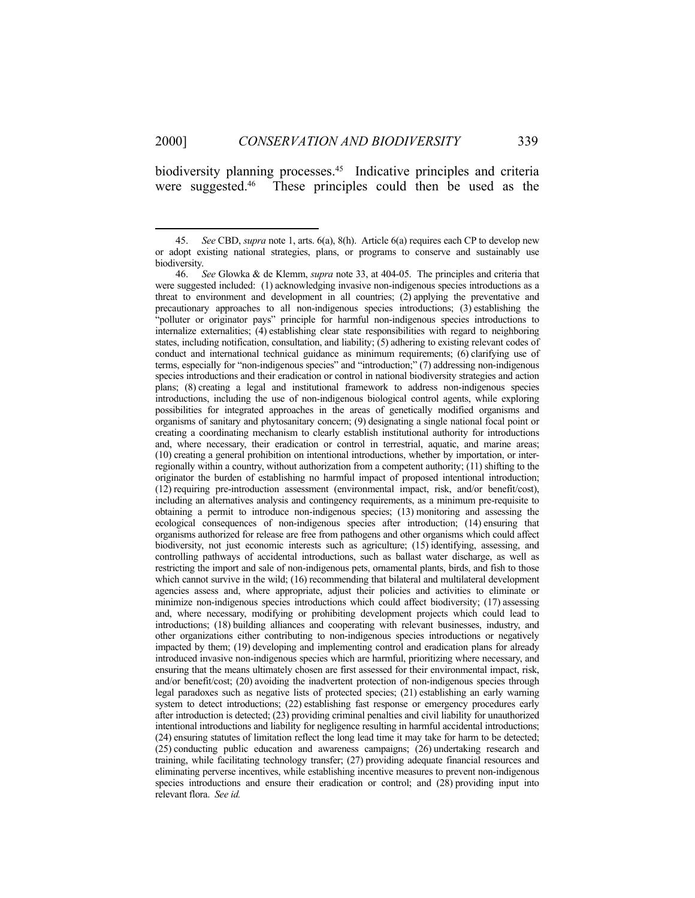1

biodiversity planning processes.<sup>45</sup> Indicative principles and criteria were suggested.<sup>46</sup> These principles could then be used as the

 <sup>45.</sup> *See* CBD, *supra* note 1, arts. 6(a), 8(h). Article 6(a) requires each CP to develop new or adopt existing national strategies, plans, or programs to conserve and sustainably use biodiversity.

 <sup>46.</sup> *See* Glowka & de Klemm, *supra* note 33, at 404-05. The principles and criteria that were suggested included: (1) acknowledging invasive non-indigenous species introductions as a threat to environment and development in all countries; (2) applying the preventative and precautionary approaches to all non-indigenous species introductions; (3) establishing the "polluter or originator pays" principle for harmful non-indigenous species introductions to internalize externalities; (4) establishing clear state responsibilities with regard to neighboring states, including notification, consultation, and liability; (5) adhering to existing relevant codes of conduct and international technical guidance as minimum requirements; (6) clarifying use of terms, especially for "non-indigenous species" and "introduction;" (7) addressing non-indigenous species introductions and their eradication or control in national biodiversity strategies and action plans; (8) creating a legal and institutional framework to address non-indigenous species introductions, including the use of non-indigenous biological control agents, while exploring possibilities for integrated approaches in the areas of genetically modified organisms and organisms of sanitary and phytosanitary concern; (9) designating a single national focal point or creating a coordinating mechanism to clearly establish institutional authority for introductions and, where necessary, their eradication or control in terrestrial, aquatic, and marine areas; (10) creating a general prohibition on intentional introductions, whether by importation, or interregionally within a country, without authorization from a competent authority; (11) shifting to the originator the burden of establishing no harmful impact of proposed intentional introduction; (12) requiring pre-introduction assessment (environmental impact, risk, and/or benefit/cost), including an alternatives analysis and contingency requirements, as a minimum pre-requisite to obtaining a permit to introduce non-indigenous species; (13) monitoring and assessing the ecological consequences of non-indigenous species after introduction; (14) ensuring that organisms authorized for release are free from pathogens and other organisms which could affect biodiversity, not just economic interests such as agriculture; (15) identifying, assessing, and controlling pathways of accidental introductions, such as ballast water discharge, as well as restricting the import and sale of non-indigenous pets, ornamental plants, birds, and fish to those which cannot survive in the wild; (16) recommending that bilateral and multilateral development agencies assess and, where appropriate, adjust their policies and activities to eliminate or minimize non-indigenous species introductions which could affect biodiversity; (17) assessing and, where necessary, modifying or prohibiting development projects which could lead to introductions; (18) building alliances and cooperating with relevant businesses, industry, and other organizations either contributing to non-indigenous species introductions or negatively impacted by them; (19) developing and implementing control and eradication plans for already introduced invasive non-indigenous species which are harmful, prioritizing where necessary, and ensuring that the means ultimately chosen are first assessed for their environmental impact, risk, and/or benefit/cost; (20) avoiding the inadvertent protection of non-indigenous species through legal paradoxes such as negative lists of protected species; (21) establishing an early warning system to detect introductions; (22) establishing fast response or emergency procedures early after introduction is detected; (23) providing criminal penalties and civil liability for unauthorized intentional introductions and liability for negligence resulting in harmful accidental introductions; (24) ensuring statutes of limitation reflect the long lead time it may take for harm to be detected; (25) conducting public education and awareness campaigns; (26) undertaking research and training, while facilitating technology transfer; (27) providing adequate financial resources and eliminating perverse incentives, while establishing incentive measures to prevent non-indigenous species introductions and ensure their eradication or control; and (28) providing input into relevant flora. *See id.*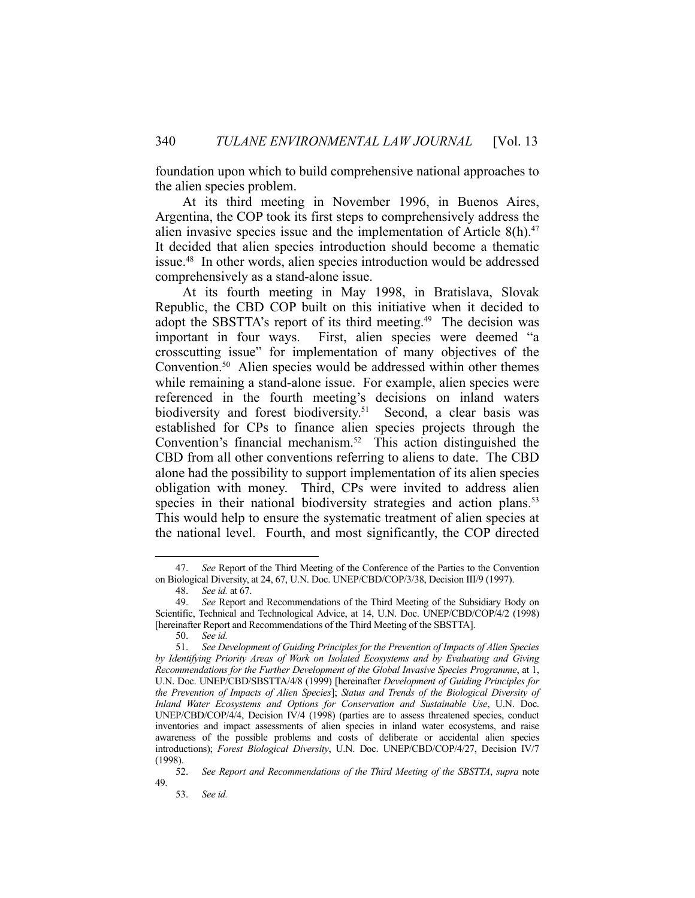foundation upon which to build comprehensive national approaches to the alien species problem.

 At its third meeting in November 1996, in Buenos Aires, Argentina, the COP took its first steps to comprehensively address the alien invasive species issue and the implementation of Article  $8(h).47$ It decided that alien species introduction should become a thematic issue.48 In other words, alien species introduction would be addressed comprehensively as a stand-alone issue.

 At its fourth meeting in May 1998, in Bratislava, Slovak Republic, the CBD COP built on this initiative when it decided to adopt the SBSTTA's report of its third meeting.<sup>49</sup> The decision was important in four ways. First, alien species were deemed "a crosscutting issue" for implementation of many objectives of the Convention.<sup>50</sup> Alien species would be addressed within other themes while remaining a stand-alone issue. For example, alien species were referenced in the fourth meeting's decisions on inland waters biodiversity and forest biodiversity.<sup>51</sup> Second, a clear basis was established for CPs to finance alien species projects through the Convention's financial mechanism.<sup>52</sup> This action distinguished the CBD from all other conventions referring to aliens to date. The CBD alone had the possibility to support implementation of its alien species obligation with money. Third, CPs were invited to address alien species in their national biodiversity strategies and action plans.<sup>53</sup> This would help to ensure the systematic treatment of alien species at the national level. Fourth, and most significantly, the COP directed

 <sup>47.</sup> *See* Report of the Third Meeting of the Conference of the Parties to the Convention on Biological Diversity, at 24, 67, U.N. Doc. UNEP/CBD/COP/3/38, Decision III/9 (1997).

 <sup>48.</sup> *See id.* at 67.

 <sup>49.</sup> *See* Report and Recommendations of the Third Meeting of the Subsidiary Body on Scientific, Technical and Technological Advice, at 14, U.N. Doc. UNEP/CBD/COP/4/2 (1998) [hereinafter Report and Recommendations of the Third Meeting of the SBSTTA].

 <sup>50.</sup> *See id.*

 <sup>51.</sup> *See Development of Guiding Principles for the Prevention of Impacts of Alien Species by Identifying Priority Areas of Work on Isolated Ecosystems and by Evaluating and Giving Recommendations for the Further Development of the Global Invasive Species Programme*, at 1, U.N. Doc. UNEP/CBD/SBSTTA/4/8 (1999) [hereinafter *Development of Guiding Principles for the Prevention of Impacts of Alien Species*]; *Status and Trends of the Biological Diversity of Inland Water Ecosystems and Options for Conservation and Sustainable Use*, U.N. Doc. UNEP/CBD/COP/4/4, Decision IV/4 (1998) (parties are to assess threatened species, conduct inventories and impact assessments of alien species in inland water ecosystems, and raise awareness of the possible problems and costs of deliberate or accidental alien species introductions); *Forest Biological Diversity*, U.N. Doc. UNEP/CBD/COP/4/27, Decision IV/7 (1998).

 <sup>52.</sup> *See Report and Recommendations of the Third Meeting of the SBSTTA*, *supra* note 49.

 <sup>53.</sup> *See id.*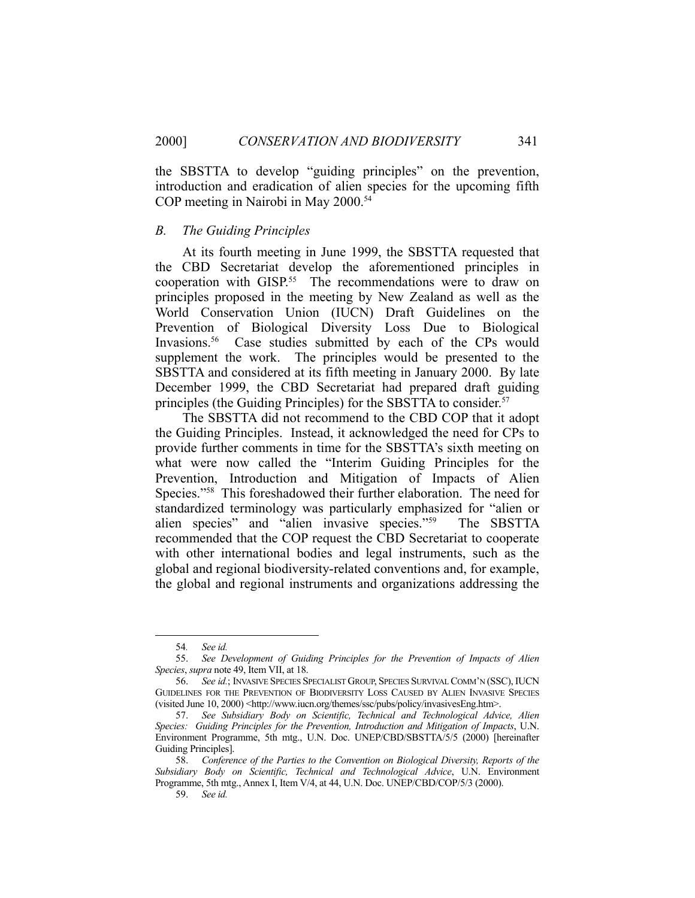the SBSTTA to develop "guiding principles" on the prevention, introduction and eradication of alien species for the upcoming fifth COP meeting in Nairobi in May 2000.54

#### *B. The Guiding Principles*

 At its fourth meeting in June 1999, the SBSTTA requested that the CBD Secretariat develop the aforementioned principles in cooperation with GISP.<sup>55</sup> The recommendations were to draw on principles proposed in the meeting by New Zealand as well as the World Conservation Union (IUCN) Draft Guidelines on the Prevention of Biological Diversity Loss Due to Biological Invasions.<sup>56</sup> Case studies submitted by each of the CPs would supplement the work. The principles would be presented to the SBSTTA and considered at its fifth meeting in January 2000. By late December 1999, the CBD Secretariat had prepared draft guiding principles (the Guiding Principles) for the SBSTTA to consider.<sup>57</sup>

 The SBSTTA did not recommend to the CBD COP that it adopt the Guiding Principles. Instead, it acknowledged the need for CPs to provide further comments in time for the SBSTTA's sixth meeting on what were now called the "Interim Guiding Principles for the Prevention, Introduction and Mitigation of Impacts of Alien Species."58 This foreshadowed their further elaboration. The need for standardized terminology was particularly emphasized for "alien or alien species" and "alien invasive species."59 The SBSTTA recommended that the COP request the CBD Secretariat to cooperate with other international bodies and legal instruments, such as the global and regional biodiversity-related conventions and, for example, the global and regional instruments and organizations addressing the

 <sup>54</sup>*. See id.*

 <sup>55.</sup> *See Development of Guiding Principles for the Prevention of Impacts of Alien Species*, *supra* note 49, Item VII, at 18.

 <sup>56.</sup> *See id.*; INVASIVE SPECIES SPECIALIST GROUP, SPECIES SURVIVAL COMM'N (SSC), IUCN GUIDELINES FOR THE PREVENTION OF BIODIVERSITY LOSS CAUSED BY ALIEN INVASIVE SPECIES (visited June 10, 2000) <http://www.iucn.org/themes/ssc/pubs/policy/invasivesEng.htm>.

 <sup>57.</sup> *See Subsidiary Body on Scientific, Technical and Technological Advice, Alien Species: Guiding Principles for the Prevention, Introduction and Mitigation of Impacts*, U.N. Environment Programme, 5th mtg., U.N. Doc. UNEP/CBD/SBSTTA/5/5 (2000) [hereinafter Guiding Principles].

 <sup>58.</sup> *Conference of the Parties to the Convention on Biological Diversity, Reports of the Subsidiary Body on Scientific, Technical and Technological Advice*, U.N. Environment Programme, 5th mtg., Annex I, Item V/4, at 44, U.N. Doc. UNEP/CBD/COP/5/3 (2000).

 <sup>59.</sup> *See id.*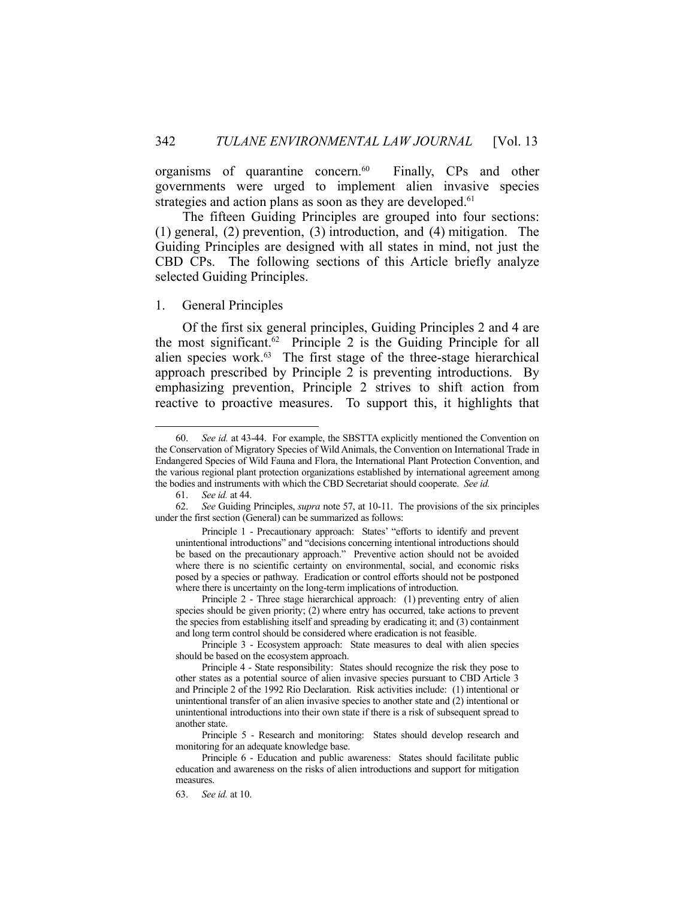organisms of quarantine concern.<sup>60</sup> Finally, CPs and other governments were urged to implement alien invasive species strategies and action plans as soon as they are developed.<sup>61</sup>

 The fifteen Guiding Principles are grouped into four sections: (1) general, (2) prevention, (3) introduction, and (4) mitigation. The Guiding Principles are designed with all states in mind, not just the CBD CPs. The following sections of this Article briefly analyze selected Guiding Principles.

# 1. General Principles

 Of the first six general principles, Guiding Principles 2 and 4 are the most significant.<sup>62</sup> Principle 2 is the Guiding Principle for all alien species work.<sup>63</sup> The first stage of the three-stage hierarchical approach prescribed by Principle 2 is preventing introductions. By emphasizing prevention, Principle 2 strives to shift action from reactive to proactive measures. To support this, it highlights that

 <sup>60.</sup> *See id.* at 43-44. For example, the SBSTTA explicitly mentioned the Convention on the Conservation of Migratory Species of Wild Animals, the Convention on International Trade in Endangered Species of Wild Fauna and Flora, the International Plant Protection Convention, and the various regional plant protection organizations established by international agreement among the bodies and instruments with which the CBD Secretariat should cooperate. *See id.* 

 <sup>61.</sup> *See id.* at 44.

 <sup>62.</sup> *See* Guiding Principles, *supra* note 57, at 10-11. The provisions of the six principles under the first section (General) can be summarized as follows:

Principle 1 - Precautionary approach: States' "efforts to identify and prevent unintentional introductions" and "decisions concerning intentional introductions should be based on the precautionary approach." Preventive action should not be avoided where there is no scientific certainty on environmental, social, and economic risks posed by a species or pathway. Eradication or control efforts should not be postponed where there is uncertainty on the long-term implications of introduction.

Principle 2 - Three stage hierarchical approach: (1) preventing entry of alien species should be given priority; (2) where entry has occurred, take actions to prevent the species from establishing itself and spreading by eradicating it; and (3) containment and long term control should be considered where eradication is not feasible.

Principle 3 - Ecosystem approach: State measures to deal with alien species should be based on the ecosystem approach.

Principle 4 - State responsibility: States should recognize the risk they pose to other states as a potential source of alien invasive species pursuant to CBD Article 3 and Principle 2 of the 1992 Rio Declaration. Risk activities include: (1) intentional or unintentional transfer of an alien invasive species to another state and (2) intentional or unintentional introductions into their own state if there is a risk of subsequent spread to another state.

Principle 5 - Research and monitoring: States should develop research and monitoring for an adequate knowledge base.

Principle 6 - Education and public awareness: States should facilitate public education and awareness on the risks of alien introductions and support for mitigation measures.

 <sup>63.</sup> *See id.* at 10.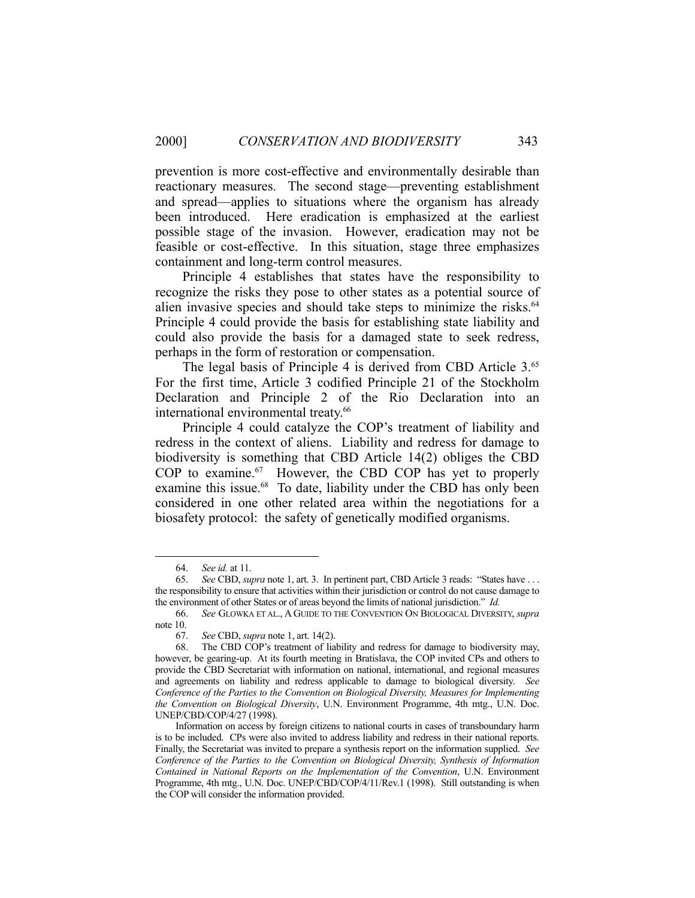prevention is more cost-effective and environmentally desirable than reactionary measures. The second stage—preventing establishment and spread—applies to situations where the organism has already been introduced. Here eradication is emphasized at the earliest possible stage of the invasion. However, eradication may not be feasible or cost-effective. In this situation, stage three emphasizes containment and long-term control measures.

 Principle 4 establishes that states have the responsibility to recognize the risks they pose to other states as a potential source of alien invasive species and should take steps to minimize the risks.<sup>64</sup> Principle 4 could provide the basis for establishing state liability and could also provide the basis for a damaged state to seek redress, perhaps in the form of restoration or compensation.

The legal basis of Principle 4 is derived from CBD Article 3.<sup>65</sup> For the first time, Article 3 codified Principle 21 of the Stockholm Declaration and Principle 2 of the Rio Declaration into an international environmental treaty.<sup>66</sup>

 Principle 4 could catalyze the COP's treatment of liability and redress in the context of aliens. Liability and redress for damage to biodiversity is something that CBD Article 14(2) obliges the CBD COP to examine.<sup>67</sup> However, the CBD COP has yet to properly examine this issue.<sup>68</sup> To date, liability under the CBD has only been considered in one other related area within the negotiations for a biosafety protocol: the safety of genetically modified organisms.

 <sup>64.</sup> *See id.* at 11.

 <sup>65.</sup> *See* CBD, *supra* note 1, art. 3. In pertinent part, CBD Article 3 reads: "States have . . . the responsibility to ensure that activities within their jurisdiction or control do not cause damage to the environment of other States or of areas beyond the limits of national jurisdiction." *Id.*

 <sup>66.</sup> *See* GLOWKA ET AL., A GUIDE TO THE CONVENTION ON BIOLOGICAL DIVERSITY, *supra* note 10.

 <sup>67.</sup> *See* CBD, *supra* note 1, art. 14(2).

 <sup>68.</sup> The CBD COP's treatment of liability and redress for damage to biodiversity may, however, be gearing-up. At its fourth meeting in Bratislava, the COP invited CPs and others to provide the CBD Secretariat with information on national, international, and regional measures and agreements on liability and redress applicable to damage to biological diversity. *See Conference of the Parties to the Convention on Biological Diversity, Measures for Implementing the Convention on Biological Diversity*, U.N. Environment Programme, 4th mtg., U.N. Doc. UNEP/CBD/COP/4/27 (1998).

Information on access by foreign citizens to national courts in cases of transboundary harm is to be included. CPs were also invited to address liability and redress in their national reports. Finally, the Secretariat was invited to prepare a synthesis report on the information supplied. *See Conference of the Parties to the Convention on Biological Diversity, Synthesis of Information Contained in National Reports on the Implementation of the Convention*, U.N. Environment Programme, 4th mtg., U.N. Doc. UNEP/CBD/COP/4/11/Rev.1 (1998). Still outstanding is when the COP will consider the information provided.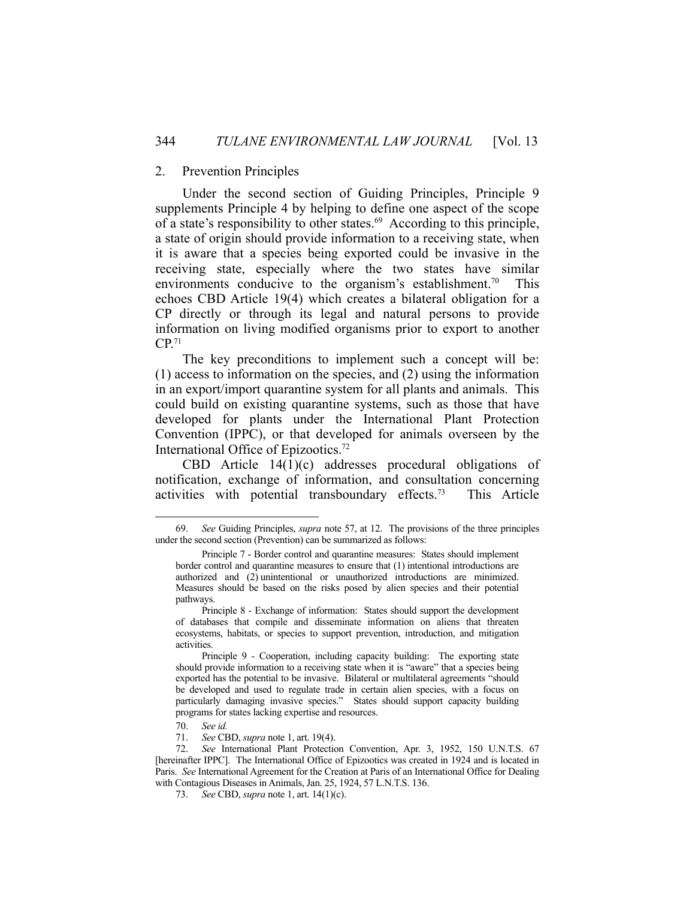#### 2. Prevention Principles

 Under the second section of Guiding Principles, Principle 9 supplements Principle 4 by helping to define one aspect of the scope of a state's responsibility to other states.<sup>69</sup> According to this principle, a state of origin should provide information to a receiving state, when it is aware that a species being exported could be invasive in the receiving state, especially where the two states have similar environments conducive to the organism's establishment.<sup>70</sup> This echoes CBD Article 19(4) which creates a bilateral obligation for a CP directly or through its legal and natural persons to provide information on living modified organisms prior to export to another CP.71

 The key preconditions to implement such a concept will be: (1) access to information on the species, and (2) using the information in an export/import quarantine system for all plants and animals. This could build on existing quarantine systems, such as those that have developed for plants under the International Plant Protection Convention (IPPC), or that developed for animals overseen by the International Office of Epizootics.72

 CBD Article 14(1)(c) addresses procedural obligations of notification, exchange of information, and consultation concerning activities with potential transboundary effects.73 This Article

 <sup>69.</sup> *See* Guiding Principles, *supra* note 57, at 12. The provisions of the three principles under the second section (Prevention) can be summarized as follows:

Principle 7 - Border control and quarantine measures: States should implement border control and quarantine measures to ensure that (1) intentional introductions are authorized and (2) unintentional or unauthorized introductions are minimized. Measures should be based on the risks posed by alien species and their potential pathways.

Principle 8 - Exchange of information: States should support the development of databases that compile and disseminate information on aliens that threaten ecosystems, habitats, or species to support prevention, introduction, and mitigation activities.

Principle 9 - Cooperation, including capacity building: The exporting state should provide information to a receiving state when it is "aware" that a species being exported has the potential to be invasive. Bilateral or multilateral agreements "should be developed and used to regulate trade in certain alien species, with a focus on particularly damaging invasive species." States should support capacity building programs for states lacking expertise and resources.

 <sup>70.</sup> *See id.*

 <sup>71.</sup> *See* CBD, *supra* note 1, art. 19(4).

 <sup>72.</sup> *See* International Plant Protection Convention, Apr. 3, 1952, 150 U.N.T.S. 67 [hereinafter IPPC]. The International Office of Epizootics was created in 1924 and is located in Paris. *See* International Agreement for the Creation at Paris of an International Office for Dealing with Contagious Diseases in Animals, Jan. 25, 1924, 57 L.N.T.S. 136.

 <sup>73.</sup> *See* CBD, *supra* note 1, art. 14(1)(c).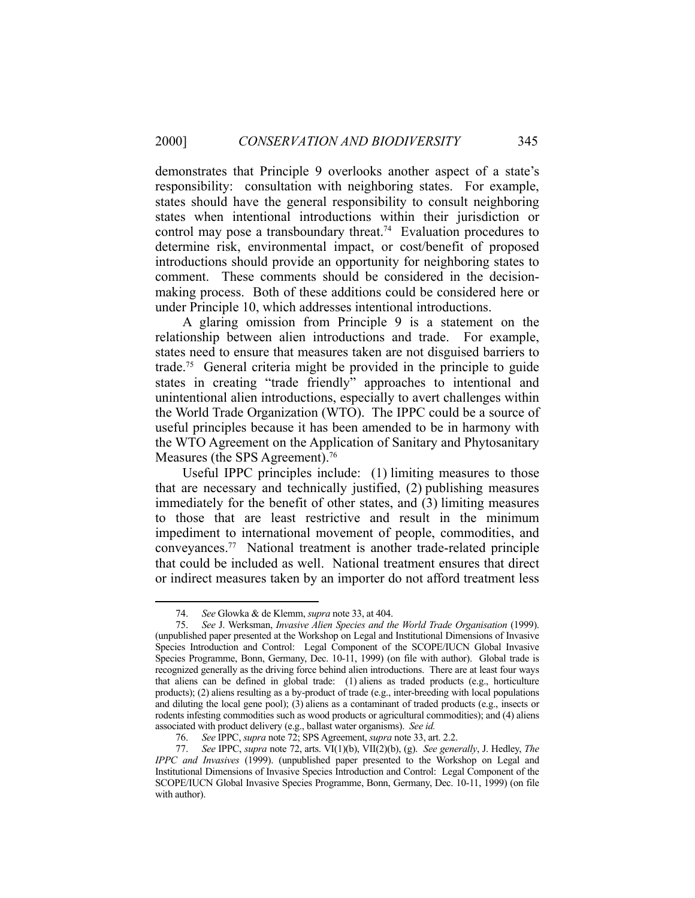demonstrates that Principle 9 overlooks another aspect of a state's responsibility: consultation with neighboring states. For example, states should have the general responsibility to consult neighboring states when intentional introductions within their jurisdiction or control may pose a transboundary threat.<sup>74</sup> Evaluation procedures to determine risk, environmental impact, or cost/benefit of proposed introductions should provide an opportunity for neighboring states to comment. These comments should be considered in the decisionmaking process. Both of these additions could be considered here or under Principle 10, which addresses intentional introductions.

 A glaring omission from Principle 9 is a statement on the relationship between alien introductions and trade. For example, states need to ensure that measures taken are not disguised barriers to trade.75 General criteria might be provided in the principle to guide states in creating "trade friendly" approaches to intentional and unintentional alien introductions, especially to avert challenges within the World Trade Organization (WTO). The IPPC could be a source of useful principles because it has been amended to be in harmony with the WTO Agreement on the Application of Sanitary and Phytosanitary Measures (the SPS Agreement).<sup>76</sup>

 Useful IPPC principles include: (1) limiting measures to those that are necessary and technically justified, (2) publishing measures immediately for the benefit of other states, and (3) limiting measures to those that are least restrictive and result in the minimum impediment to international movement of people, commodities, and conveyances.77 National treatment is another trade-related principle that could be included as well. National treatment ensures that direct or indirect measures taken by an importer do not afford treatment less

 <sup>74.</sup> *See* Glowka & de Klemm, *supra* note 33, at 404.

 <sup>75.</sup> *See* J. Werksman, *Invasive Alien Species and the World Trade Organisation* (1999). (unpublished paper presented at the Workshop on Legal and Institutional Dimensions of Invasive Species Introduction and Control: Legal Component of the SCOPE/IUCN Global Invasive Species Programme, Bonn, Germany, Dec. 10-11, 1999) (on file with author). Global trade is recognized generally as the driving force behind alien introductions. There are at least four ways that aliens can be defined in global trade: (1) aliens as traded products (e.g., horticulture products); (2) aliens resulting as a by-product of trade (e.g., inter-breeding with local populations and diluting the local gene pool); (3) aliens as a contaminant of traded products (e.g., insects or rodents infesting commodities such as wood products or agricultural commodities); and (4) aliens associated with product delivery (e.g., ballast water organisms). *See id.* 

 <sup>76.</sup> *See* IPPC, *supra* note 72; SPS Agreement, *supra* note 33, art. 2.2.

 <sup>77.</sup> *See* IPPC, *supra* note 72, arts. VI(1)(b), VII(2)(b), (g). *See generally*, J. Hedley, *The IPPC and Invasives* (1999). (unpublished paper presented to the Workshop on Legal and Institutional Dimensions of Invasive Species Introduction and Control: Legal Component of the SCOPE/IUCN Global Invasive Species Programme, Bonn, Germany, Dec. 10-11, 1999) (on file with author).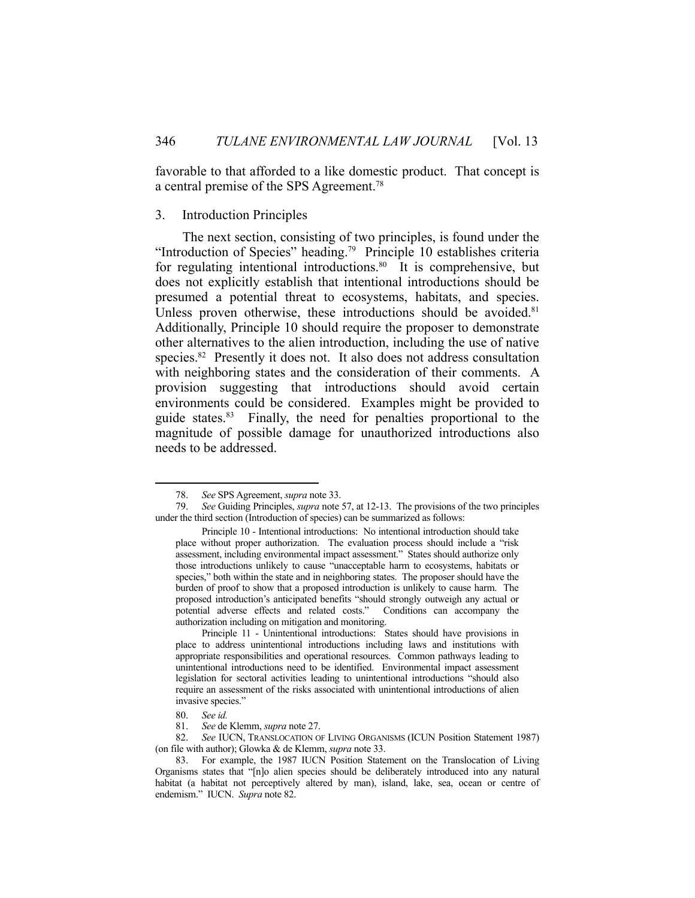favorable to that afforded to a like domestic product. That concept is a central premise of the SPS Agreement.78

#### 3. Introduction Principles

 The next section, consisting of two principles, is found under the "Introduction of Species" heading.<sup>79</sup> Principle 10 establishes criteria for regulating intentional introductions.<sup>80</sup> It is comprehensive, but does not explicitly establish that intentional introductions should be presumed a potential threat to ecosystems, habitats, and species. Unless proven otherwise, these introductions should be avoided.<sup>81</sup> Additionally, Principle 10 should require the proposer to demonstrate other alternatives to the alien introduction, including the use of native species.<sup>82</sup> Presently it does not. It also does not address consultation with neighboring states and the consideration of their comments. A provision suggesting that introductions should avoid certain environments could be considered. Examples might be provided to guide states.83 Finally, the need for penalties proportional to the magnitude of possible damage for unauthorized introductions also needs to be addressed.

<u>.</u>

 <sup>78.</sup> *See* SPS Agreement, *supra* note 33.

 <sup>79.</sup> *See* Guiding Principles, *supra* note 57, at 12-13. The provisions of the two principles under the third section (Introduction of species) can be summarized as follows:

Principle 10 - Intentional introductions: No intentional introduction should take place without proper authorization. The evaluation process should include a "risk assessment, including environmental impact assessment." States should authorize only those introductions unlikely to cause "unacceptable harm to ecosystems, habitats or species," both within the state and in neighboring states. The proposer should have the burden of proof to show that a proposed introduction is unlikely to cause harm. The proposed introduction's anticipated benefits "should strongly outweigh any actual or potential adverse effects and related costs." Conditions can accompany the authorization including on mitigation and monitoring.

Principle 11 - Unintentional introductions: States should have provisions in place to address unintentional introductions including laws and institutions with appropriate responsibilities and operational resources. Common pathways leading to unintentional introductions need to be identified. Environmental impact assessment legislation for sectoral activities leading to unintentional introductions "should also require an assessment of the risks associated with unintentional introductions of alien invasive species."

 <sup>80.</sup> *See id.*

 <sup>81.</sup> *See* de Klemm, *supra* note 27.

 <sup>82.</sup> *See* IUCN, TRANSLOCATION OF LIVING ORGANISMS (ICUN Position Statement 1987) (on file with author); Glowka & de Klemm, *supra* note 33.

 <sup>83.</sup> For example, the 1987 IUCN Position Statement on the Translocation of Living Organisms states that "[n]o alien species should be deliberately introduced into any natural habitat (a habitat not perceptively altered by man), island, lake, sea, ocean or centre of endemism." IUCN. *Supra* note 82.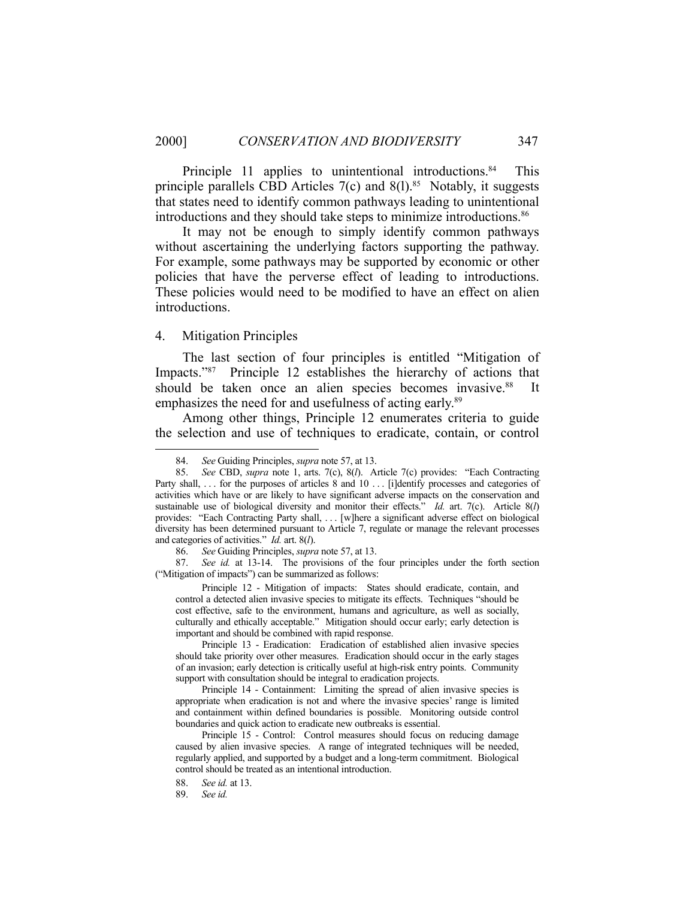Principle 11 applies to unintentional introductions.<sup>84</sup> This principle parallels CBD Articles  $7(c)$  and  $8(1).$ <sup>85</sup> Notably, it suggests that states need to identify common pathways leading to unintentional introductions and they should take steps to minimize introductions.86

 It may not be enough to simply identify common pathways without ascertaining the underlying factors supporting the pathway. For example, some pathways may be supported by economic or other policies that have the perverse effect of leading to introductions. These policies would need to be modified to have an effect on alien introductions.

### 4. Mitigation Principles

1

 The last section of four principles is entitled "Mitigation of Impacts."87 Principle 12 establishes the hierarchy of actions that should be taken once an alien species becomes invasive.<sup>88</sup> It emphasizes the need for and usefulness of acting early.<sup>89</sup>

 Among other things, Principle 12 enumerates criteria to guide the selection and use of techniques to eradicate, contain, or control

 87. *See id.* at 13-14. The provisions of the four principles under the forth section ("Mitigation of impacts") can be summarized as follows:

 Principle 12 - Mitigation of impacts: States should eradicate, contain, and control a detected alien invasive species to mitigate its effects. Techniques "should be cost effective, safe to the environment, humans and agriculture, as well as socially, culturally and ethically acceptable." Mitigation should occur early; early detection is important and should be combined with rapid response.

 Principle 13 - Eradication: Eradication of established alien invasive species should take priority over other measures. Eradication should occur in the early stages of an invasion; early detection is critically useful at high-risk entry points. Community support with consultation should be integral to eradication projects.

 Principle 14 - Containment: Limiting the spread of alien invasive species is appropriate when eradication is not and where the invasive species' range is limited and containment within defined boundaries is possible. Monitoring outside control boundaries and quick action to eradicate new outbreaks is essential.

 Principle 15 - Control: Control measures should focus on reducing damage caused by alien invasive species. A range of integrated techniques will be needed, regularly applied, and supported by a budget and a long-term commitment. Biological control should be treated as an intentional introduction.

 <sup>84.</sup> *See* Guiding Principles, *supra* note 57, at 13.

 <sup>85.</sup> *See* CBD, *supra* note 1, arts. 7(c), 8(*l*). Article 7(c) provides: "Each Contracting Party shall, ... for the purposes of articles 8 and 10 ... [i]dentify processes and categories of activities which have or are likely to have significant adverse impacts on the conservation and sustainable use of biological diversity and monitor their effects." *Id.* art. 7(c). Article 8(*l*) provides: "Each Contracting Party shall, . . . [w]here a significant adverse effect on biological diversity has been determined pursuant to Article 7, regulate or manage the relevant processes and categories of activities." *Id.* art. 8(*l*).

 <sup>86.</sup> *See* Guiding Principles, *supra* note 57, at 13.

 <sup>88.</sup> *See id.* at 13.

 <sup>89.</sup> *See id.*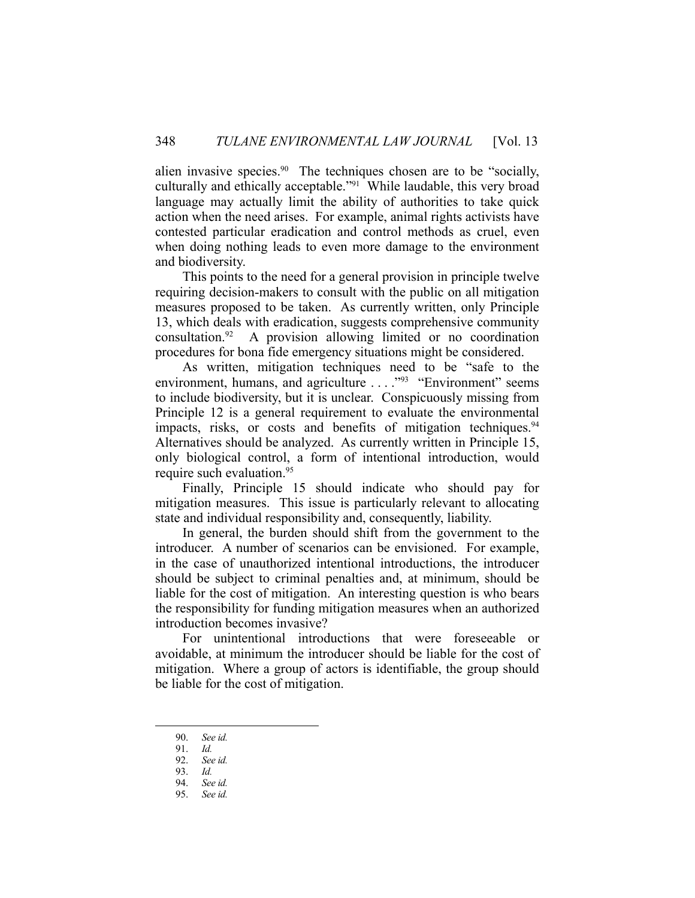alien invasive species.<sup>90</sup> The techniques chosen are to be "socially, culturally and ethically acceptable."91 While laudable, this very broad language may actually limit the ability of authorities to take quick action when the need arises. For example, animal rights activists have contested particular eradication and control methods as cruel, even when doing nothing leads to even more damage to the environment and biodiversity.

 This points to the need for a general provision in principle twelve requiring decision-makers to consult with the public on all mitigation measures proposed to be taken. As currently written, only Principle 13, which deals with eradication, suggests comprehensive community consultation.92 A provision allowing limited or no coordination procedures for bona fide emergency situations might be considered.

 As written, mitigation techniques need to be "safe to the environment, humans, and agriculture . . . . "93 "Environment" seems to include biodiversity, but it is unclear. Conspicuously missing from Principle 12 is a general requirement to evaluate the environmental impacts, risks, or costs and benefits of mitigation techniques.<sup>94</sup> Alternatives should be analyzed. As currently written in Principle 15, only biological control, a form of intentional introduction, would require such evaluation.<sup>95</sup>

 Finally, Principle 15 should indicate who should pay for mitigation measures. This issue is particularly relevant to allocating state and individual responsibility and, consequently, liability.

 In general, the burden should shift from the government to the introducer. A number of scenarios can be envisioned. For example, in the case of unauthorized intentional introductions, the introducer should be subject to criminal penalties and, at minimum, should be liable for the cost of mitigation. An interesting question is who bears the responsibility for funding mitigation measures when an authorized introduction becomes invasive?

 For unintentional introductions that were foreseeable or avoidable, at minimum the introducer should be liable for the cost of mitigation. Where a group of actors is identifiable, the group should be liable for the cost of mitigation.

<u>.</u>

 <sup>90.</sup> *See id.* 

 <sup>91.</sup> *Id.*

 <sup>92.</sup> *See id.*

 <sup>93.</sup> *Id.*

 <sup>94.</sup> *See id.*

 <sup>95.</sup> *See id.*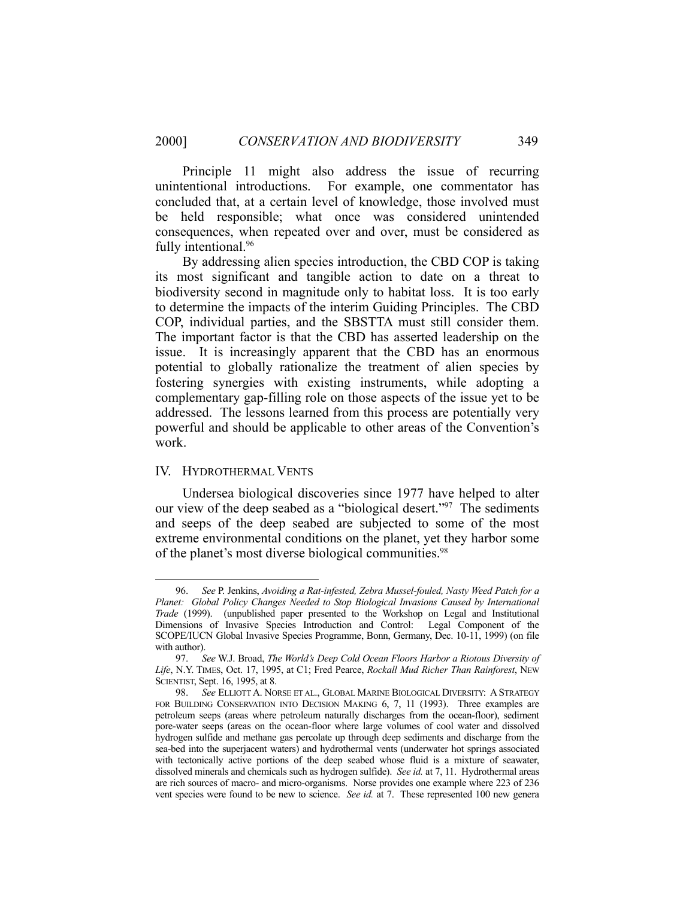Principle 11 might also address the issue of recurring unintentional introductions. For example, one commentator has concluded that, at a certain level of knowledge, those involved must be held responsible; what once was considered unintended consequences, when repeated over and over, must be considered as fully intentional.<sup>96</sup>

 By addressing alien species introduction, the CBD COP is taking its most significant and tangible action to date on a threat to biodiversity second in magnitude only to habitat loss. It is too early to determine the impacts of the interim Guiding Principles. The CBD COP, individual parties, and the SBSTTA must still consider them. The important factor is that the CBD has asserted leadership on the issue. It is increasingly apparent that the CBD has an enormous potential to globally rationalize the treatment of alien species by fostering synergies with existing instruments, while adopting a complementary gap-filling role on those aspects of the issue yet to be addressed. The lessons learned from this process are potentially very powerful and should be applicable to other areas of the Convention's work.

#### IV. HYDROTHERMAL VENTS

1

 Undersea biological discoveries since 1977 have helped to alter our view of the deep seabed as a "biological desert."<sup>97</sup> The sediments and seeps of the deep seabed are subjected to some of the most extreme environmental conditions on the planet, yet they harbor some of the planet's most diverse biological communities.<sup>98</sup>

 <sup>96.</sup> *See* P. Jenkins, *Avoiding a Rat-infested, Zebra Mussel-fouled, Nasty Weed Patch for a Planet: Global Policy Changes Needed to Stop Biological Invasions Caused by International Trade* (1999). (unpublished paper presented to the Workshop on Legal and Institutional Dimensions of Invasive Species Introduction and Control: Legal Component of the SCOPE/IUCN Global Invasive Species Programme, Bonn, Germany, Dec. 10-11, 1999) (on file with author).

 <sup>97.</sup> *See* W.J. Broad, *The World's Deep Cold Ocean Floors Harbor a Riotous Diversity of Life*, N.Y. TIMES, Oct. 17, 1995, at C1; Fred Pearce, *Rockall Mud Richer Than Rainforest*, NEW SCIENTIST, Sept. 16, 1995, at 8.

 <sup>98.</sup> *See* ELLIOTT A. NORSE ET AL., GLOBAL MARINE BIOLOGICAL DIVERSITY: A STRATEGY FOR BUILDING CONSERVATION INTO DECISION MAKING 6, 7, 11 (1993). Three examples are petroleum seeps (areas where petroleum naturally discharges from the ocean-floor), sediment pore-water seeps (areas on the ocean-floor where large volumes of cool water and dissolved hydrogen sulfide and methane gas percolate up through deep sediments and discharge from the sea-bed into the superjacent waters) and hydrothermal vents (underwater hot springs associated with tectonically active portions of the deep seabed whose fluid is a mixture of seawater, dissolved minerals and chemicals such as hydrogen sulfide). *See id.* at 7, 11. Hydrothermal areas are rich sources of macro- and micro-organisms. Norse provides one example where 223 of 236 vent species were found to be new to science. *See id.* at 7. These represented 100 new genera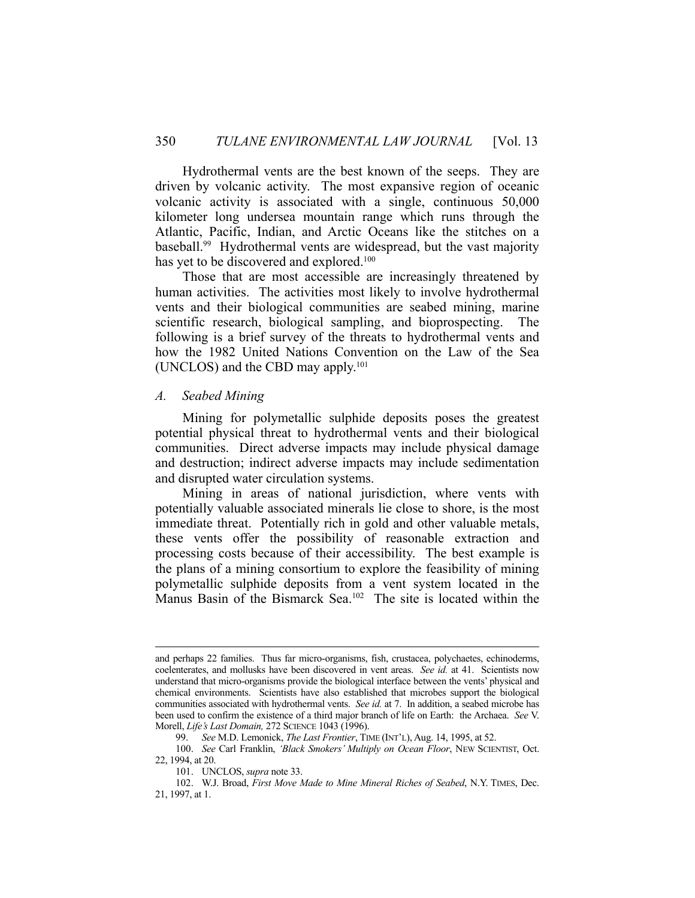Hydrothermal vents are the best known of the seeps. They are driven by volcanic activity. The most expansive region of oceanic volcanic activity is associated with a single, continuous 50,000 kilometer long undersea mountain range which runs through the Atlantic, Pacific, Indian, and Arctic Oceans like the stitches on a baseball.<sup>99</sup> Hydrothermal vents are widespread, but the vast majority has yet to be discovered and explored.<sup>100</sup>

 Those that are most accessible are increasingly threatened by human activities. The activities most likely to involve hydrothermal vents and their biological communities are seabed mining, marine scientific research, biological sampling, and bioprospecting. The following is a brief survey of the threats to hydrothermal vents and how the 1982 United Nations Convention on the Law of the Sea (UNCLOS) and the CBD may apply.101

#### *A. Seabed Mining*

 Mining for polymetallic sulphide deposits poses the greatest potential physical threat to hydrothermal vents and their biological communities. Direct adverse impacts may include physical damage and destruction; indirect adverse impacts may include sedimentation and disrupted water circulation systems.

 Mining in areas of national jurisdiction, where vents with potentially valuable associated minerals lie close to shore, is the most immediate threat. Potentially rich in gold and other valuable metals, these vents offer the possibility of reasonable extraction and processing costs because of their accessibility. The best example is the plans of a mining consortium to explore the feasibility of mining polymetallic sulphide deposits from a vent system located in the Manus Basin of the Bismarck Sea.102 The site is located within the

and perhaps 22 families. Thus far micro-organisms, fish, crustacea, polychaetes, echinoderms, coelenterates, and mollusks have been discovered in vent areas. *See id.* at 41. Scientists now understand that micro-organisms provide the biological interface between the vents' physical and chemical environments. Scientists have also established that microbes support the biological communities associated with hydrothermal vents. *See id.* at 7. In addition, a seabed microbe has been used to confirm the existence of a third major branch of life on Earth: the Archaea. *See* V. Morell, *Life's Last Domain,* 272 SCIENCE 1043 (1996).

 <sup>99.</sup> *See* M.D. Lemonick, *The Last Frontier*, TIME (INT'L), Aug. 14, 1995, at 52.

 <sup>100.</sup> *See* Carl Franklin, *'Black Smokers' Multiply on Ocean Floor*, NEW SCIENTIST, Oct. 22, 1994, at 20.

 <sup>101.</sup> UNCLOS, *supra* note 33.

 <sup>102.</sup> W.J. Broad, *First Move Made to Mine Mineral Riches of Seabed*, N.Y. TIMES, Dec. 21, 1997, at 1.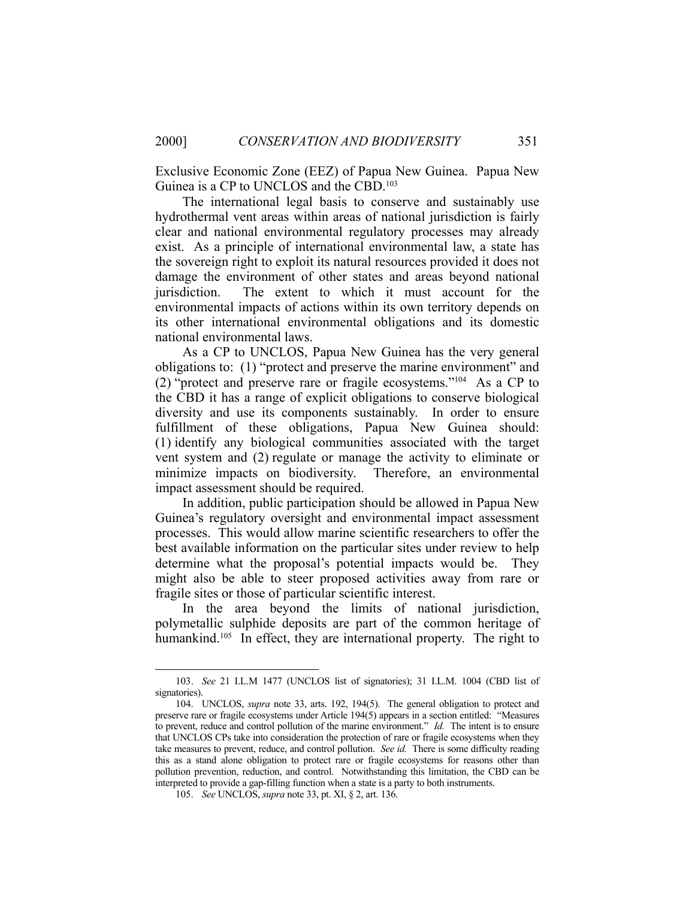Exclusive Economic Zone (EEZ) of Papua New Guinea. Papua New Guinea is a CP to UNCLOS and the CBD.<sup>103</sup>

 The international legal basis to conserve and sustainably use hydrothermal vent areas within areas of national jurisdiction is fairly clear and national environmental regulatory processes may already exist. As a principle of international environmental law, a state has the sovereign right to exploit its natural resources provided it does not damage the environment of other states and areas beyond national jurisdiction. The extent to which it must account for the environmental impacts of actions within its own territory depends on its other international environmental obligations and its domestic national environmental laws.

 As a CP to UNCLOS, Papua New Guinea has the very general obligations to: (1) "protect and preserve the marine environment" and (2) "protect and preserve rare or fragile ecosystems."104 As a CP to the CBD it has a range of explicit obligations to conserve biological diversity and use its components sustainably. In order to ensure fulfillment of these obligations, Papua New Guinea should: (1) identify any biological communities associated with the target vent system and (2) regulate or manage the activity to eliminate or minimize impacts on biodiversity. Therefore, an environmental impact assessment should be required.

 In addition, public participation should be allowed in Papua New Guinea's regulatory oversight and environmental impact assessment processes. This would allow marine scientific researchers to offer the best available information on the particular sites under review to help determine what the proposal's potential impacts would be. They might also be able to steer proposed activities away from rare or fragile sites or those of particular scientific interest.

 In the area beyond the limits of national jurisdiction, polymetallic sulphide deposits are part of the common heritage of humankind.<sup>105</sup> In effect, they are international property. The right to

<u>.</u>

 <sup>103.</sup> *See* 21 I.L.M 1477 (UNCLOS list of signatories); 31 I.L.M. 1004 (CBD list of signatories).

 <sup>104.</sup> UNCLOS, *supra* note 33, arts. 192, 194(5). The general obligation to protect and preserve rare or fragile ecosystems under Article 194(5) appears in a section entitled: "Measures to prevent, reduce and control pollution of the marine environment." *Id.* The intent is to ensure that UNCLOS CPs take into consideration the protection of rare or fragile ecosystems when they take measures to prevent, reduce, and control pollution. *See id.* There is some difficulty reading this as a stand alone obligation to protect rare or fragile ecosystems for reasons other than pollution prevention, reduction, and control. Notwithstanding this limitation, the CBD can be interpreted to provide a gap-filling function when a state is a party to both instruments.

 <sup>105.</sup> *See* UNCLOS, *supra* note 33, pt. XI, § 2, art. 136.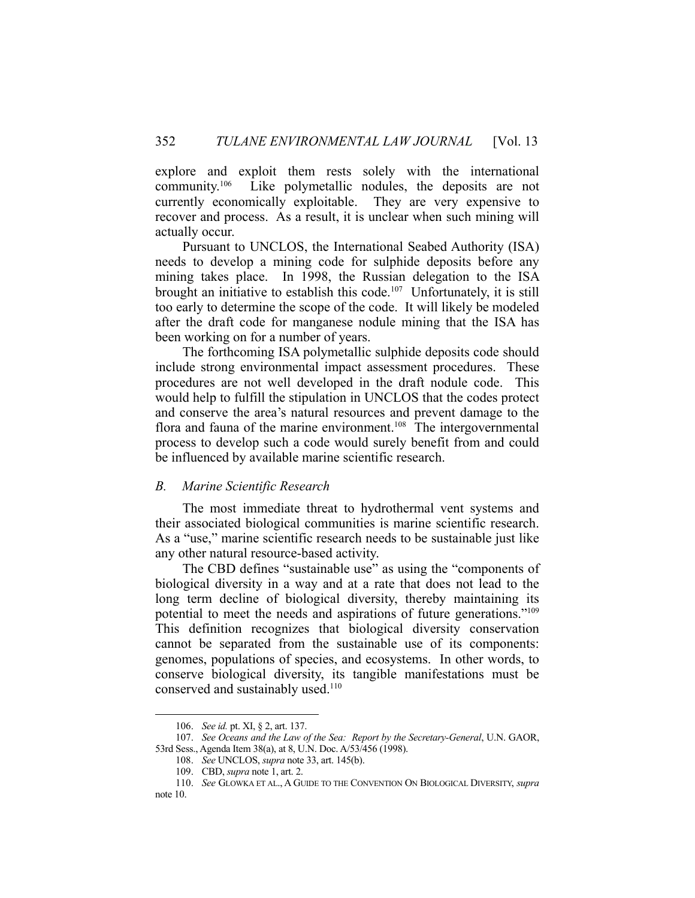explore and exploit them rests solely with the international community.106 Like polymetallic nodules, the deposits are not currently economically exploitable. They are very expensive to recover and process. As a result, it is unclear when such mining will actually occur.

 Pursuant to UNCLOS, the International Seabed Authority (ISA) needs to develop a mining code for sulphide deposits before any mining takes place. In 1998, the Russian delegation to the ISA brought an initiative to establish this code.<sup>107</sup> Unfortunately, it is still too early to determine the scope of the code. It will likely be modeled after the draft code for manganese nodule mining that the ISA has been working on for a number of years.

 The forthcoming ISA polymetallic sulphide deposits code should include strong environmental impact assessment procedures. These procedures are not well developed in the draft nodule code. This would help to fulfill the stipulation in UNCLOS that the codes protect and conserve the area's natural resources and prevent damage to the flora and fauna of the marine environment.<sup>108</sup> The intergovernmental process to develop such a code would surely benefit from and could be influenced by available marine scientific research.

#### *B. Marine Scientific Research*

 The most immediate threat to hydrothermal vent systems and their associated biological communities is marine scientific research. As a "use," marine scientific research needs to be sustainable just like any other natural resource-based activity.

The CBD defines "sustainable use" as using the "components of biological diversity in a way and at a rate that does not lead to the long term decline of biological diversity, thereby maintaining its potential to meet the needs and aspirations of future generations."109 This definition recognizes that biological diversity conservation cannot be separated from the sustainable use of its components: genomes, populations of species, and ecosystems. In other words, to conserve biological diversity, its tangible manifestations must be conserved and sustainably used.<sup>110</sup>

 <sup>106.</sup> *See id.* pt. XI, § 2, art. 137.

 <sup>107.</sup> *See Oceans and the Law of the Sea: Report by the Secretary-General*, U.N. GAOR, 53rd Sess., Agenda Item 38(a), at 8, U.N. Doc. A/53/456 (1998).

 <sup>108.</sup> *See* UNCLOS, *supra* note 33, art. 145(b).

 <sup>109.</sup> CBD, *supra* note 1, art. 2.

 <sup>110.</sup> *See* GLOWKA ET AL., A GUIDE TO THE CONVENTION ON BIOLOGICAL DIVERSITY, *supra* note 10.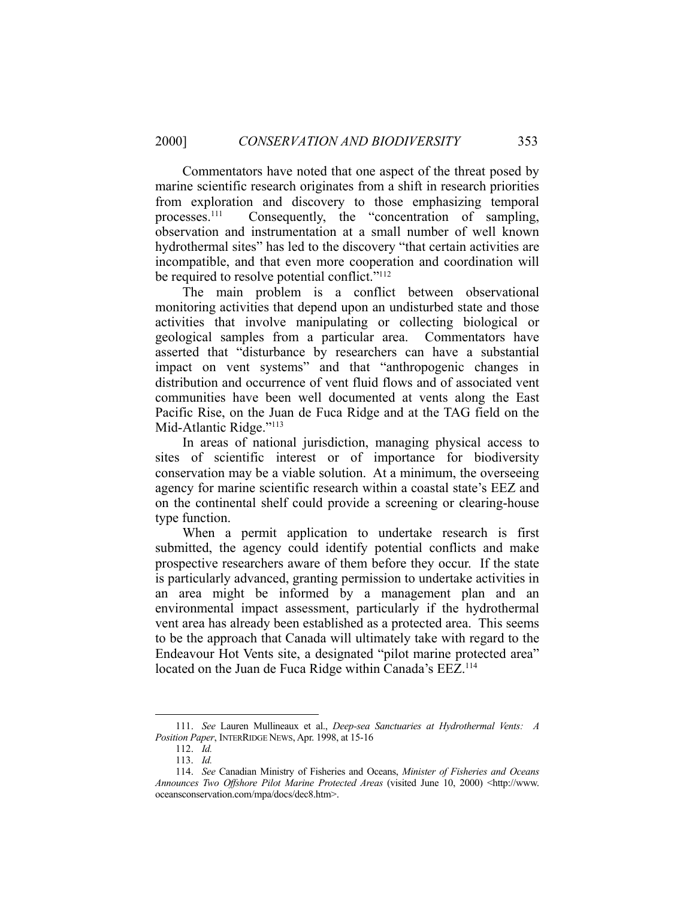Commentators have noted that one aspect of the threat posed by marine scientific research originates from a shift in research priorities from exploration and discovery to those emphasizing temporal processes.111 Consequently, the "concentration of sampling, observation and instrumentation at a small number of well known hydrothermal sites" has led to the discovery "that certain activities are incompatible, and that even more cooperation and coordination will be required to resolve potential conflict."<sup>112</sup>

 The main problem is a conflict between observational monitoring activities that depend upon an undisturbed state and those activities that involve manipulating or collecting biological or geological samples from a particular area. Commentators have asserted that "disturbance by researchers can have a substantial impact on vent systems" and that "anthropogenic changes in distribution and occurrence of vent fluid flows and of associated vent communities have been well documented at vents along the East Pacific Rise, on the Juan de Fuca Ridge and at the TAG field on the Mid-Atlantic Ridge."<sup>113</sup>

 In areas of national jurisdiction, managing physical access to sites of scientific interest or of importance for biodiversity conservation may be a viable solution. At a minimum, the overseeing agency for marine scientific research within a coastal state's EEZ and on the continental shelf could provide a screening or clearing-house type function.

 When a permit application to undertake research is first submitted, the agency could identify potential conflicts and make prospective researchers aware of them before they occur. If the state is particularly advanced, granting permission to undertake activities in an area might be informed by a management plan and an environmental impact assessment, particularly if the hydrothermal vent area has already been established as a protected area. This seems to be the approach that Canada will ultimately take with regard to the Endeavour Hot Vents site, a designated "pilot marine protected area" located on the Juan de Fuca Ridge within Canada's EEZ.<sup>114</sup>

 <sup>111.</sup> *See* Lauren Mullineaux et al., *Deep-sea Sanctuaries at Hydrothermal Vents: A Position Paper*, INTERRIDGE NEWS, Apr. 1998, at 15-16

 <sup>112.</sup> *Id.*

 <sup>113.</sup> *Id.* 

 <sup>114.</sup> *See* Canadian Ministry of Fisheries and Oceans, *Minister of Fisheries and Oceans Announces Two Offshore Pilot Marine Protected Areas* (visited June 10, 2000) <http://www. oceansconservation.com/mpa/docs/dec8.htm>.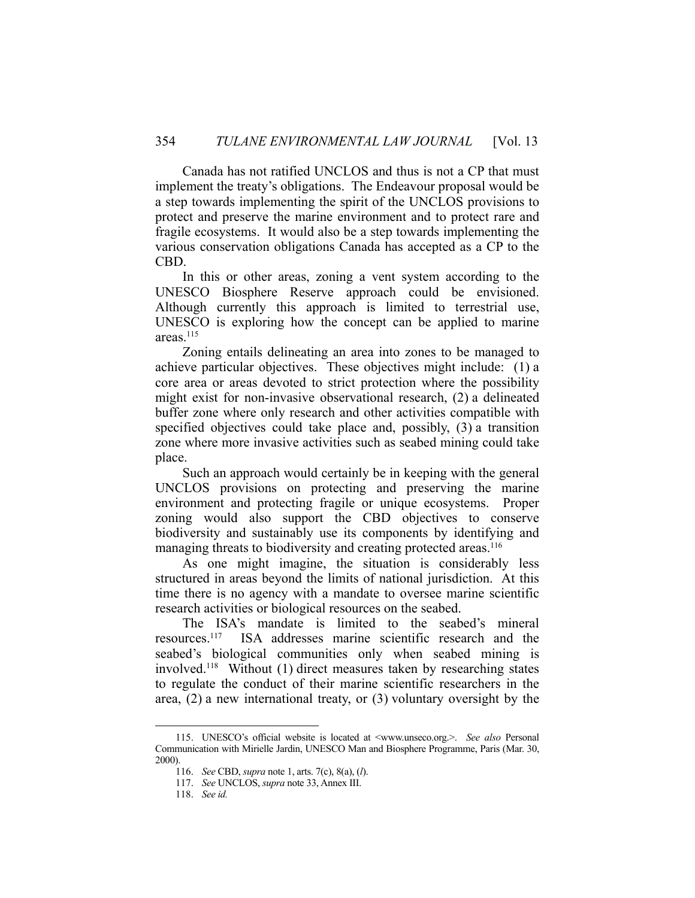Canada has not ratified UNCLOS and thus is not a CP that must implement the treaty's obligations. The Endeavour proposal would be a step towards implementing the spirit of the UNCLOS provisions to protect and preserve the marine environment and to protect rare and fragile ecosystems. It would also be a step towards implementing the various conservation obligations Canada has accepted as a CP to the CBD.

 In this or other areas, zoning a vent system according to the UNESCO Biosphere Reserve approach could be envisioned. Although currently this approach is limited to terrestrial use, UNESCO is exploring how the concept can be applied to marine areas.<sup>115</sup>

 Zoning entails delineating an area into zones to be managed to achieve particular objectives. These objectives might include: (1) a core area or areas devoted to strict protection where the possibility might exist for non-invasive observational research, (2) a delineated buffer zone where only research and other activities compatible with specified objectives could take place and, possibly, (3) a transition zone where more invasive activities such as seabed mining could take place.

 Such an approach would certainly be in keeping with the general UNCLOS provisions on protecting and preserving the marine environment and protecting fragile or unique ecosystems. Proper zoning would also support the CBD objectives to conserve biodiversity and sustainably use its components by identifying and managing threats to biodiversity and creating protected areas.<sup>116</sup>

 As one might imagine, the situation is considerably less structured in areas beyond the limits of national jurisdiction. At this time there is no agency with a mandate to oversee marine scientific research activities or biological resources on the seabed.

 The ISA's mandate is limited to the seabed's mineral resources.117 ISA addresses marine scientific research and the seabed's biological communities only when seabed mining is involved.118 Without (1) direct measures taken by researching states to regulate the conduct of their marine scientific researchers in the area, (2) a new international treaty, or (3) voluntary oversight by the

<u>.</u>

 <sup>115.</sup> UNESCO's official website is located at <www.unseco.org.>. *See also* Personal Communication with Mirielle Jardin, UNESCO Man and Biosphere Programme, Paris (Mar. 30, 2000).

 <sup>116.</sup> *See* CBD, *supra* note 1, arts. 7(c), 8(a), (*l*).

 <sup>117.</sup> *See* UNCLOS, *supra* note 33, Annex III.

 <sup>118.</sup> *See id.*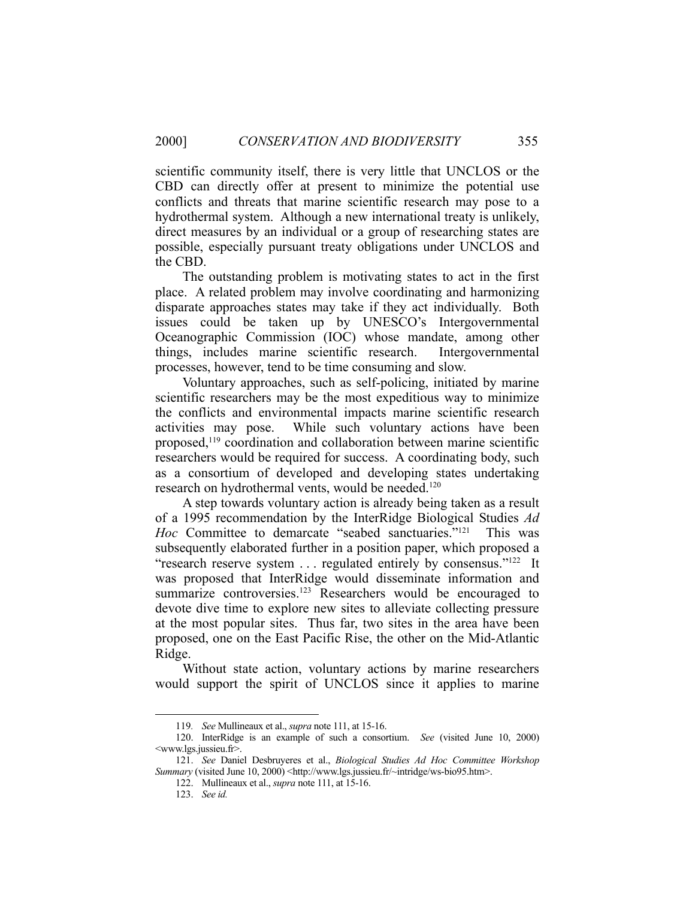scientific community itself, there is very little that UNCLOS or the CBD can directly offer at present to minimize the potential use conflicts and threats that marine scientific research may pose to a hydrothermal system. Although a new international treaty is unlikely, direct measures by an individual or a group of researching states are possible, especially pursuant treaty obligations under UNCLOS and the CBD.

 The outstanding problem is motivating states to act in the first place. A related problem may involve coordinating and harmonizing disparate approaches states may take if they act individually. Both issues could be taken up by UNESCO's Intergovernmental Oceanographic Commission (IOC) whose mandate, among other things, includes marine scientific research. Intergovernmental processes, however, tend to be time consuming and slow.

 Voluntary approaches, such as self-policing, initiated by marine scientific researchers may be the most expeditious way to minimize the conflicts and environmental impacts marine scientific research activities may pose. While such voluntary actions have been proposed,<sup>119</sup> coordination and collaboration between marine scientific researchers would be required for success. A coordinating body, such as a consortium of developed and developing states undertaking research on hydrothermal vents, would be needed.<sup>120</sup>

 A step towards voluntary action is already being taken as a result of a 1995 recommendation by the InterRidge Biological Studies *Ad Hoc* Committee to demarcate "seabed sanctuaries."<sup>121</sup> This was subsequently elaborated further in a position paper, which proposed a "research reserve system ... regulated entirely by consensus."<sup>122</sup> It was proposed that InterRidge would disseminate information and summarize controversies.<sup>123</sup> Researchers would be encouraged to devote dive time to explore new sites to alleviate collecting pressure at the most popular sites. Thus far, two sites in the area have been proposed, one on the East Pacific Rise, the other on the Mid-Atlantic Ridge.

 Without state action, voluntary actions by marine researchers would support the spirit of UNCLOS since it applies to marine

 <sup>119</sup>*. See* Mullineaux et al., *supra* note 111, at 15-16.

 <sup>120.</sup> InterRidge is an example of such a consortium. *See* (visited June 10, 2000) <www.lgs.jussieu.fr>.

 <sup>121.</sup> *See* Daniel Desbruyeres et al., *Biological Studies Ad Hoc Committee Workshop Summary* (visited June 10, 2000) <http://www.lgs.jussieu.fr/~intridge/ws-bio95.htm>.

 <sup>122.</sup> Mullineaux et al., *supra* note 111, at 15-16.

 <sup>123.</sup> *See id.*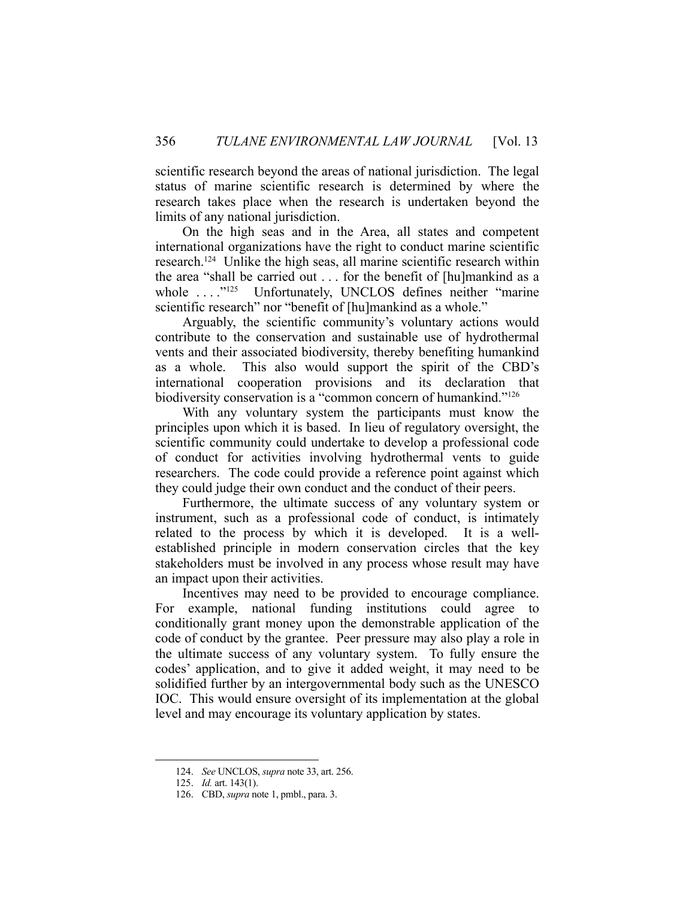scientific research beyond the areas of national jurisdiction. The legal status of marine scientific research is determined by where the research takes place when the research is undertaken beyond the limits of any national jurisdiction.

 On the high seas and in the Area, all states and competent international organizations have the right to conduct marine scientific research.124 Unlike the high seas, all marine scientific research within the area "shall be carried out . . . for the benefit of [hu]mankind as a whole ...."<sup>125</sup> Unfortunately, UNCLOS defines neither "marine scientific research" nor "benefit of [hu]mankind as a whole."

 Arguably, the scientific community's voluntary actions would contribute to the conservation and sustainable use of hydrothermal vents and their associated biodiversity, thereby benefiting humankind as a whole. This also would support the spirit of the CBD's international cooperation provisions and its declaration that biodiversity conservation is a "common concern of humankind."<sup>126</sup>

 With any voluntary system the participants must know the principles upon which it is based. In lieu of regulatory oversight, the scientific community could undertake to develop a professional code of conduct for activities involving hydrothermal vents to guide researchers. The code could provide a reference point against which they could judge their own conduct and the conduct of their peers.

 Furthermore, the ultimate success of any voluntary system or instrument, such as a professional code of conduct, is intimately related to the process by which it is developed. It is a wellestablished principle in modern conservation circles that the key stakeholders must be involved in any process whose result may have an impact upon their activities.

 Incentives may need to be provided to encourage compliance. For example, national funding institutions could agree to conditionally grant money upon the demonstrable application of the code of conduct by the grantee. Peer pressure may also play a role in the ultimate success of any voluntary system. To fully ensure the codes' application, and to give it added weight, it may need to be solidified further by an intergovernmental body such as the UNESCO IOC. This would ensure oversight of its implementation at the global level and may encourage its voluntary application by states.

 <sup>124.</sup> *See* UNCLOS, *supra* note 33, art. 256.

 <sup>125.</sup> *Id.* art. 143(1).

 <sup>126.</sup> CBD, *supra* note 1, pmbl., para. 3.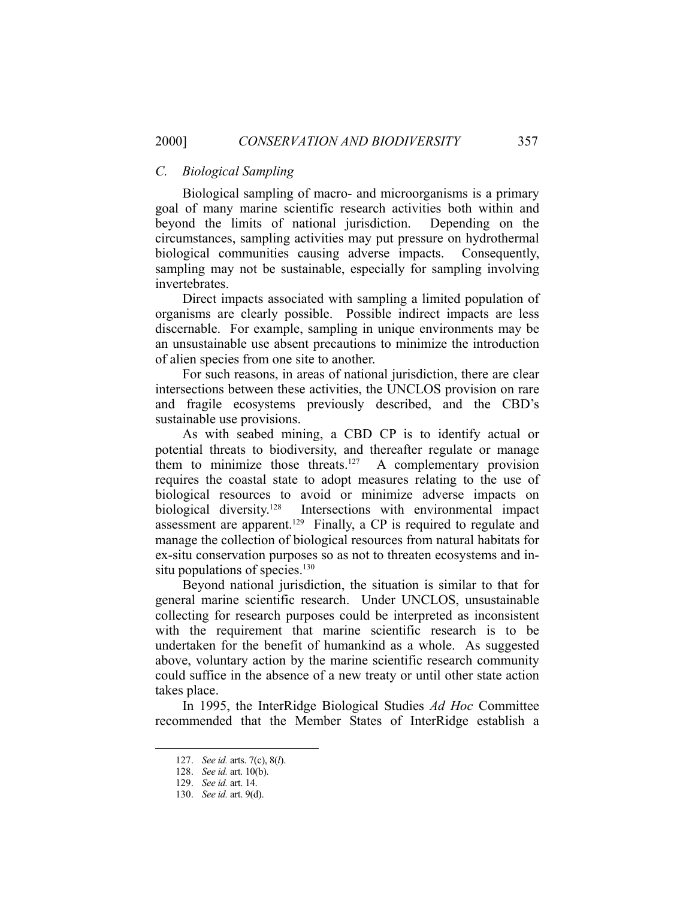## *C. Biological Sampling*

 Biological sampling of macro- and microorganisms is a primary goal of many marine scientific research activities both within and beyond the limits of national jurisdiction. Depending on the circumstances, sampling activities may put pressure on hydrothermal biological communities causing adverse impacts. Consequently, sampling may not be sustainable, especially for sampling involving invertebrates.

 Direct impacts associated with sampling a limited population of organisms are clearly possible. Possible indirect impacts are less discernable. For example, sampling in unique environments may be an unsustainable use absent precautions to minimize the introduction of alien species from one site to another.

 For such reasons, in areas of national jurisdiction, there are clear intersections between these activities, the UNCLOS provision on rare and fragile ecosystems previously described, and the CBD's sustainable use provisions.

 As with seabed mining, a CBD CP is to identify actual or potential threats to biodiversity, and thereafter regulate or manage them to minimize those threats.<sup>127</sup> A complementary provision requires the coastal state to adopt measures relating to the use of biological resources to avoid or minimize adverse impacts on biological diversity.128 Intersections with environmental impact assessment are apparent.<sup>129</sup> Finally, a CP is required to regulate and manage the collection of biological resources from natural habitats for ex-situ conservation purposes so as not to threaten ecosystems and insitu populations of species.<sup>130</sup>

 Beyond national jurisdiction, the situation is similar to that for general marine scientific research. Under UNCLOS, unsustainable collecting for research purposes could be interpreted as inconsistent with the requirement that marine scientific research is to be undertaken for the benefit of humankind as a whole. As suggested above, voluntary action by the marine scientific research community could suffice in the absence of a new treaty or until other state action takes place.

 In 1995, the InterRidge Biological Studies *Ad Hoc* Committee recommended that the Member States of InterRidge establish a

<u>.</u>

 <sup>127.</sup> *See id.* arts. 7(c), 8(*l*).

 <sup>128.</sup> *See id.* art. 10(b).

 <sup>129.</sup> *See id.* art. 14.

 <sup>130.</sup> *See id.* art. 9(d).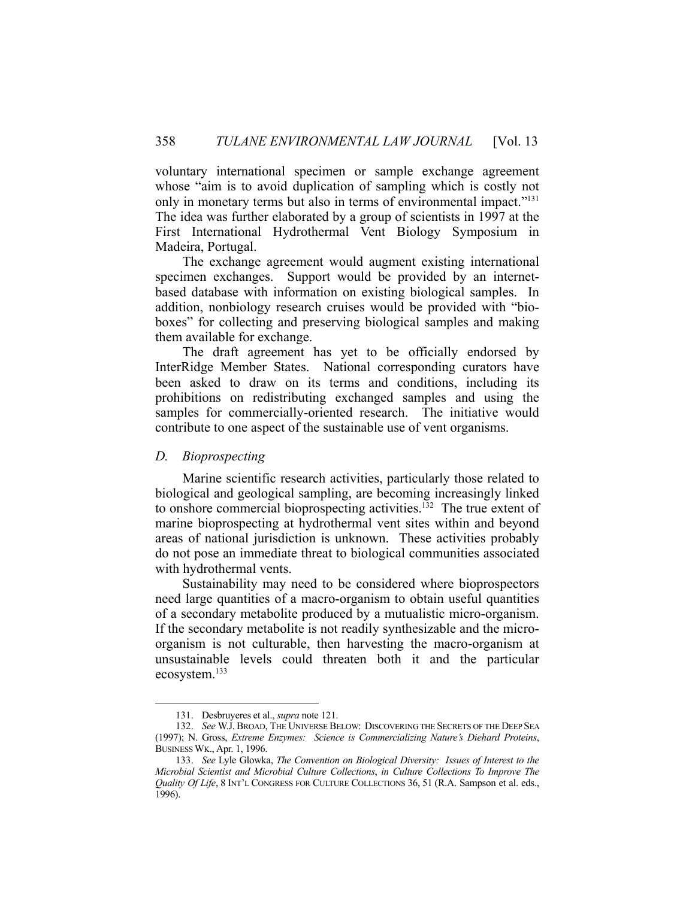voluntary international specimen or sample exchange agreement whose "aim is to avoid duplication of sampling which is costly not only in monetary terms but also in terms of environmental impact."131 The idea was further elaborated by a group of scientists in 1997 at the First International Hydrothermal Vent Biology Symposium in Madeira, Portugal.

 The exchange agreement would augment existing international specimen exchanges. Support would be provided by an internetbased database with information on existing biological samples. In addition, nonbiology research cruises would be provided with "bioboxes" for collecting and preserving biological samples and making them available for exchange.

 The draft agreement has yet to be officially endorsed by InterRidge Member States. National corresponding curators have been asked to draw on its terms and conditions, including its prohibitions on redistributing exchanged samples and using the samples for commercially-oriented research. The initiative would contribute to one aspect of the sustainable use of vent organisms.

#### *D. Bioprospecting*

<u>.</u>

 Marine scientific research activities, particularly those related to biological and geological sampling, are becoming increasingly linked to onshore commercial bioprospecting activities.132 The true extent of marine bioprospecting at hydrothermal vent sites within and beyond areas of national jurisdiction is unknown. These activities probably do not pose an immediate threat to biological communities associated with hydrothermal vents.

 Sustainability may need to be considered where bioprospectors need large quantities of a macro-organism to obtain useful quantities of a secondary metabolite produced by a mutualistic micro-organism. If the secondary metabolite is not readily synthesizable and the microorganism is not culturable, then harvesting the macro-organism at unsustainable levels could threaten both it and the particular ecosystem.133

 <sup>131.</sup> Desbruyeres et al., *supra* note 121.

 <sup>132.</sup> *See* W.J. BROAD, THE UNIVERSE BELOW: DISCOVERING THE SECRETS OF THE DEEP SEA (1997); N. Gross, *Extreme Enzymes: Science is Commercializing Nature's Diehard Proteins*, BUSINESS WK., Apr. 1, 1996.

 <sup>133.</sup> *See* Lyle Glowka, *The Convention on Biological Diversity: Issues of Interest to the Microbial Scientist and Microbial Culture Collections*, *in Culture Collections To Improve The Quality Of Life*, 8 INT'L CONGRESS FOR CULTURE COLLECTIONS 36, 51 (R.A. Sampson et al. eds., 1996).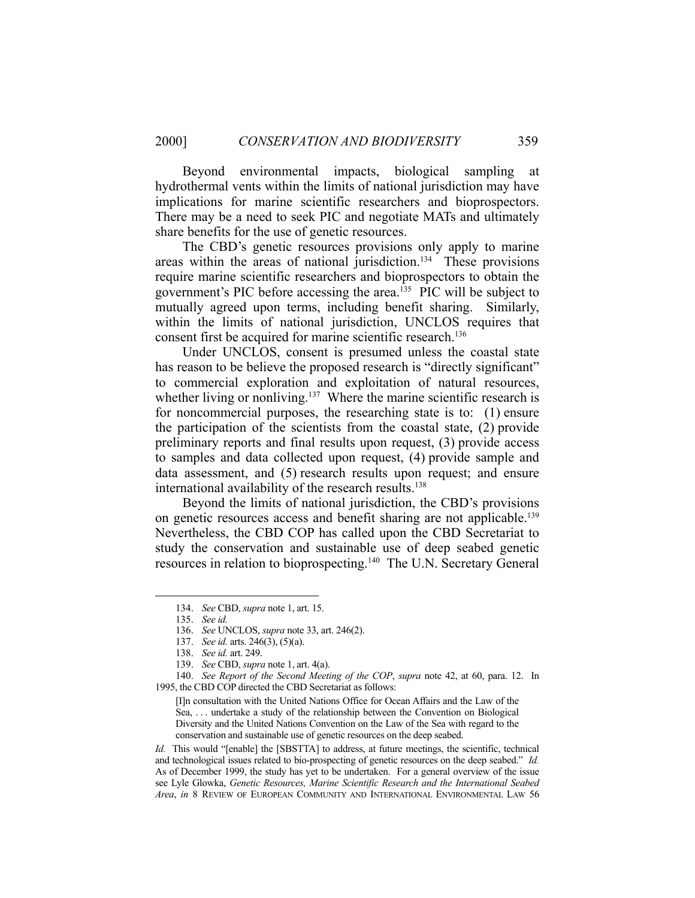Beyond environmental impacts, biological sampling at hydrothermal vents within the limits of national jurisdiction may have implications for marine scientific researchers and bioprospectors. There may be a need to seek PIC and negotiate MATs and ultimately share benefits for the use of genetic resources.

 The CBD's genetic resources provisions only apply to marine areas within the areas of national jurisdiction.134 These provisions require marine scientific researchers and bioprospectors to obtain the government's PIC before accessing the area.135 PIC will be subject to mutually agreed upon terms, including benefit sharing. Similarly, within the limits of national jurisdiction, UNCLOS requires that consent first be acquired for marine scientific research.<sup>136</sup>

 Under UNCLOS, consent is presumed unless the coastal state has reason to be believe the proposed research is "directly significant" to commercial exploration and exploitation of natural resources, whether living or nonliving.<sup>137</sup> Where the marine scientific research is for noncommercial purposes, the researching state is to: (1) ensure the participation of the scientists from the coastal state, (2) provide preliminary reports and final results upon request, (3) provide access to samples and data collected upon request, (4) provide sample and data assessment, and (5) research results upon request; and ensure international availability of the research results.<sup>138</sup>

 Beyond the limits of national jurisdiction, the CBD's provisions on genetic resources access and benefit sharing are not applicable.<sup>139</sup> Nevertheless, the CBD COP has called upon the CBD Secretariat to study the conservation and sustainable use of deep seabed genetic resources in relation to bioprospecting.140 The U.N. Secretary General

<u>.</u>

*Id.* This would "[enable] the [SBSTTA] to address, at future meetings, the scientific, technical and technological issues related to bio-prospecting of genetic resources on the deep seabed." *Id.* As of December 1999, the study has yet to be undertaken. For a general overview of the issue see Lyle Glowka, *Genetic Resources, Marine Scientific Research and the International Seabed Area*, *in* 8 REVIEW OF EUROPEAN COMMUNITY AND INTERNATIONAL ENVIRONMENTAL LAW 56

 <sup>134.</sup> *See* CBD, *supra* note 1, art. 15.

 <sup>135.</sup> *See id.* 

 <sup>136.</sup> *See* UNCLOS, *supra* note 33, art. 246(2).

 <sup>137.</sup> *See id.* arts. 246(3), (5)(a).

 <sup>138.</sup> *See id.* art. 249.

 <sup>139.</sup> *See* CBD, *supra* note 1, art. 4(a).

 <sup>140.</sup> *See Report of the Second Meeting of the COP*, *supra* note 42, at 60, para. 12. In 1995, the CBD COP directed the CBD Secretariat as follows:

<sup>[</sup>I]n consultation with the United Nations Office for Ocean Affairs and the Law of the Sea, . . . undertake a study of the relationship between the Convention on Biological Diversity and the United Nations Convention on the Law of the Sea with regard to the conservation and sustainable use of genetic resources on the deep seabed.